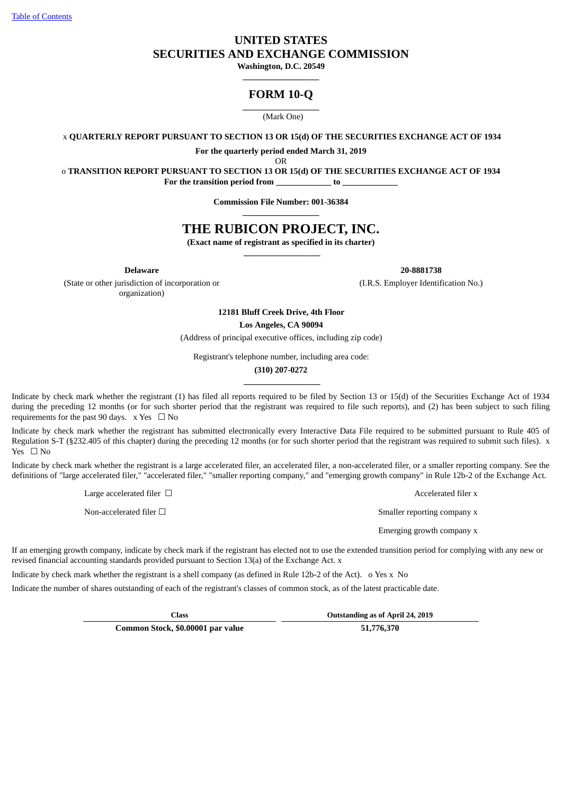Table of [Contents](#page-1-0)

# **UNITED STATES SECURITIES AND EXCHANGE COMMISSION**

**Washington, D.C. 20549 \_\_\_\_\_\_\_\_\_\_\_\_\_\_\_\_\_\_**

# **FORM 10-Q**

#### **\_\_\_\_\_\_\_\_\_\_\_\_\_\_\_\_\_\_** (Mark One)

x **QUARTERLY REPORT PURSUANT TO SECTION 13 OR 15(d) OF THE SECURITIES EXCHANGE ACT OF 1934**

**For the quarterly period ended March 31, 2019**

OR

o **TRANSITION REPORT PURSUANT TO SECTION 13 OR 15(d) OF THE SECURITIES EXCHANGE ACT OF 1934 For the transition period from \_\_\_\_\_\_\_\_\_\_\_\_\_ to \_\_\_\_\_\_\_\_\_\_\_\_\_**

> **Commission File Number: 001-36384 \_\_\_\_\_\_\_\_\_\_\_\_\_\_\_\_\_\_**

# **THE RUBICON PROJECT, INC.**

**(Exact name of registrant as specified in its charter) \_\_\_\_\_\_\_\_\_\_\_\_\_\_\_\_\_\_**

(State or other jurisdiction of incorporation or organization)

**Delaware 20-8881738**

(I.R.S. Employer Identification No.)

**12181 Bluff Creek Drive, 4th Floor**

**Los Angeles, CA 90094**

(Address of principal executive offices, including zip code)

Registrant's telephone number, including area code:

**(310) 207-0272 \_\_\_\_\_\_\_\_\_\_\_\_\_\_\_\_\_\_**

Indicate by check mark whether the registrant (1) has filed all reports required to be filed by Section 13 or 15(d) of the Securities Exchange Act of 1934 during the preceding 12 months (or for such shorter period that the registrant was required to file such reports), and (2) has been subject to such filing requirements for the past 90 days.  $x$  Yes  $\Box$  No

Indicate by check mark whether the registrant has submitted electronically every Interactive Data File required to be submitted pursuant to Rule 405 of Regulation S-T (§232.405 of this chapter) during the preceding 12 months (or for such shorter period that the registrant was required to submit such files). x Yes □ No

Indicate by check mark whether the registrant is a large accelerated filer, an accelerated filer, a non-accelerated filer, or a smaller reporting company. See the definitions of "large accelerated filer," "accelerated filer," "smaller reporting company," and "emerging growth company" in Rule 12b-2 of the Exchange Act.

Large accelerated filer □ <br>
Accelerated filer  $□$ 

Non-accelerated filer □ <br>
Smaller reporting company x

Emerging growth company x

If an emerging growth company, indicate by check mark if the registrant has elected not to use the extended transition period for complying with any new or revised financial accounting standards provided pursuant to Section 13(a) of the Exchange Act. x

Indicate by check mark whether the registrant is a shell company (as defined in Rule 12b-2 of the Act). o Yes x No

Indicate the number of shares outstanding of each of the registrant's classes of common stock, as of the latest practicable date.

**Class Outstanding as of April 24, 2019 Common Stock, \$0.00001 par value 51,776,370**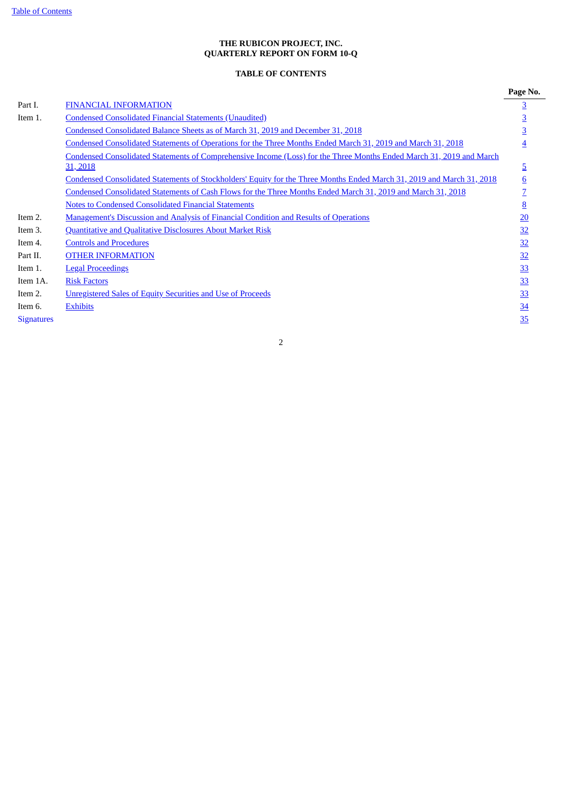# **THE RUBICON PROJECT, INC. QUARTERLY REPORT ON FORM 10-Q**

# **TABLE OF CONTENTS**

<span id="page-1-0"></span>

|                   |                                                                                                                        | Page No.        |
|-------------------|------------------------------------------------------------------------------------------------------------------------|-----------------|
| Part I.           | <b>FINANCIAL INFORMATION</b>                                                                                           | $\overline{3}$  |
| Item 1.           | <b>Condensed Consolidated Financial Statements (Unaudited)</b>                                                         | $\overline{3}$  |
|                   | Condensed Consolidated Balance Sheets as of March 31, 2019 and December 31, 2018                                       | <u>3</u>        |
|                   | Condensed Consolidated Statements of Operations for the Three Months Ended March 31, 2019 and March 31, 2018           |                 |
|                   | Condensed Consolidated Statements of Comprehensive Income (Loss) for the Three Months Ended March 31, 2019 and March   |                 |
|                   | 31, 2018                                                                                                               | <u>5</u>        |
|                   | Condensed Consolidated Statements of Stockholders' Equity for the Three Months Ended March 31, 2019 and March 31, 2018 | $6\overline{6}$ |
|                   | Condensed Consolidated Statements of Cash Flows for the Three Months Ended March 31, 2019 and March 31, 2018           | Z               |
|                   | <b>Notes to Condensed Consolidated Financial Statements</b>                                                            | 8               |
| Item 2.           | <b>Management's Discussion and Analysis of Financial Condition and Results of Operations</b>                           | $\overline{20}$ |
| Item 3.           | <b>Quantitative and Qualitative Disclosures About Market Risk</b>                                                      | 32              |
| Item 4.           | <b>Controls and Procedures</b>                                                                                         | 32              |
| Part II.          | <b>OTHER INFORMATION</b>                                                                                               | 32              |
| Item 1.           | <b>Legal Proceedings</b>                                                                                               | <u>33</u>       |
| Item 1A.          | <b>Risk Factors</b>                                                                                                    | 33              |
| Item 2.           | <b>Unregistered Sales of Equity Securities and Use of Proceeds</b>                                                     | <u>33</u>       |
| Item 6.           | <b>Exhibits</b>                                                                                                        | 34              |
| <b>Signatures</b> |                                                                                                                        | 35              |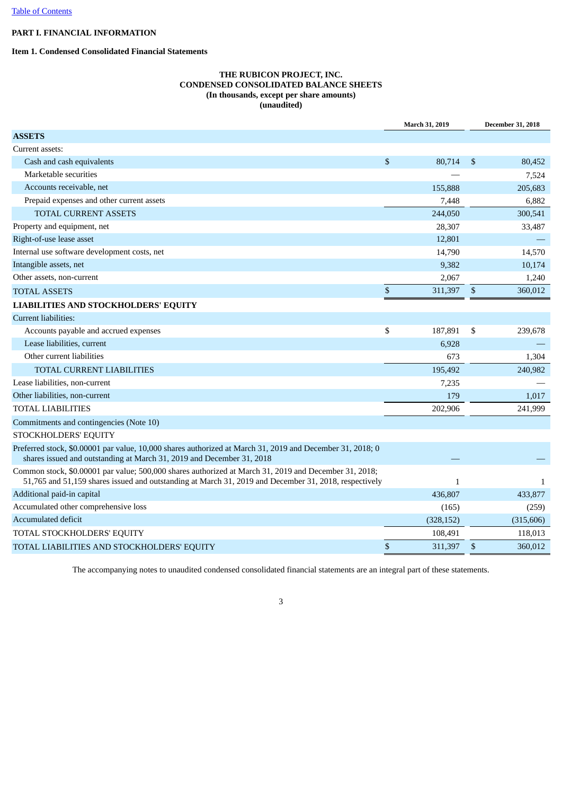# <span id="page-2-0"></span>**PART I. FINANCIAL INFORMATION**

# <span id="page-2-2"></span><span id="page-2-1"></span>**Item 1. Condensed Consolidated Financial Statements**

# **THE RUBICON PROJECT, INC. CONDENSED CONSOLIDATED BALANCE SHEETS (In thousands, except per share amounts) (unaudited)**

|                                                                                                                                                                                                                |                           | March 31, 2019 |                | <b>December 31, 2018</b> |
|----------------------------------------------------------------------------------------------------------------------------------------------------------------------------------------------------------------|---------------------------|----------------|----------------|--------------------------|
| <b>ASSETS</b>                                                                                                                                                                                                  |                           |                |                |                          |
| Current assets:                                                                                                                                                                                                |                           |                |                |                          |
| Cash and cash equivalents                                                                                                                                                                                      | $\boldsymbol{\mathsf{S}}$ | 80,714         | \$             | 80,452                   |
| Marketable securities                                                                                                                                                                                          |                           |                |                | 7,524                    |
| Accounts receivable, net                                                                                                                                                                                       |                           | 155,888        |                | 205,683                  |
| Prepaid expenses and other current assets                                                                                                                                                                      |                           | 7,448          |                | 6,882                    |
| TOTAL CURRENT ASSETS                                                                                                                                                                                           |                           | 244,050        |                | 300,541                  |
| Property and equipment, net                                                                                                                                                                                    |                           | 28,307         |                | 33,487                   |
| Right-of-use lease asset                                                                                                                                                                                       |                           | 12,801         |                |                          |
| Internal use software development costs, net                                                                                                                                                                   |                           | 14,790         |                | 14,570                   |
| Intangible assets, net                                                                                                                                                                                         |                           | 9,382          |                | 10,174                   |
| Other assets, non-current                                                                                                                                                                                      |                           | 2,067          |                | 1,240                    |
| <b>TOTAL ASSETS</b>                                                                                                                                                                                            | \$                        | 311,397        | \$             | 360,012                  |
| <b>LIABILITIES AND STOCKHOLDERS' EQUITY</b>                                                                                                                                                                    |                           |                |                |                          |
| <b>Current liabilities:</b>                                                                                                                                                                                    |                           |                |                |                          |
| Accounts payable and accrued expenses                                                                                                                                                                          | \$                        | 187,891        | \$             | 239,678                  |
| Lease liabilities, current                                                                                                                                                                                     |                           | 6,928          |                |                          |
| Other current liabilities                                                                                                                                                                                      |                           | 673            |                | 1,304                    |
| <b>TOTAL CURRENT LIABILITIES</b>                                                                                                                                                                               |                           | 195,492        |                | 240,982                  |
| Lease liabilities, non-current                                                                                                                                                                                 |                           | 7,235          |                |                          |
| Other liabilities, non-current                                                                                                                                                                                 |                           | 179            |                | 1,017                    |
| <b>TOTAL LIABILITIES</b>                                                                                                                                                                                       |                           | 202,906        |                | 241,999                  |
| Commitments and contingencies (Note 10)                                                                                                                                                                        |                           |                |                |                          |
| STOCKHOLDERS' EQUITY                                                                                                                                                                                           |                           |                |                |                          |
| Preferred stock, \$0.00001 par value, 10,000 shares authorized at March 31, 2019 and December 31, 2018; 0<br>shares issued and outstanding at March 31, 2019 and December 31, 2018                             |                           |                |                |                          |
| Common stock, \$0.00001 par value; 500,000 shares authorized at March 31, 2019 and December 31, 2018;<br>51,765 and 51,159 shares issued and outstanding at March 31, 2019 and December 31, 2018, respectively |                           | $\mathbf{1}$   |                | 1                        |
| Additional paid-in capital                                                                                                                                                                                     |                           | 436,807        |                | 433,877                  |
| Accumulated other comprehensive loss                                                                                                                                                                           |                           | (165)          |                | (259)                    |
| <b>Accumulated deficit</b>                                                                                                                                                                                     |                           | (328, 152)     |                | (315, 606)               |
| TOTAL STOCKHOLDERS' EQUITY                                                                                                                                                                                     |                           | 108,491        |                | 118,013                  |
| TOTAL LIABILITIES AND STOCKHOLDERS' EQUITY                                                                                                                                                                     | \$                        | 311,397        | $\mathfrak{s}$ | 360,012                  |

The accompanying notes to unaudited condensed consolidated financial statements are an integral part of these statements.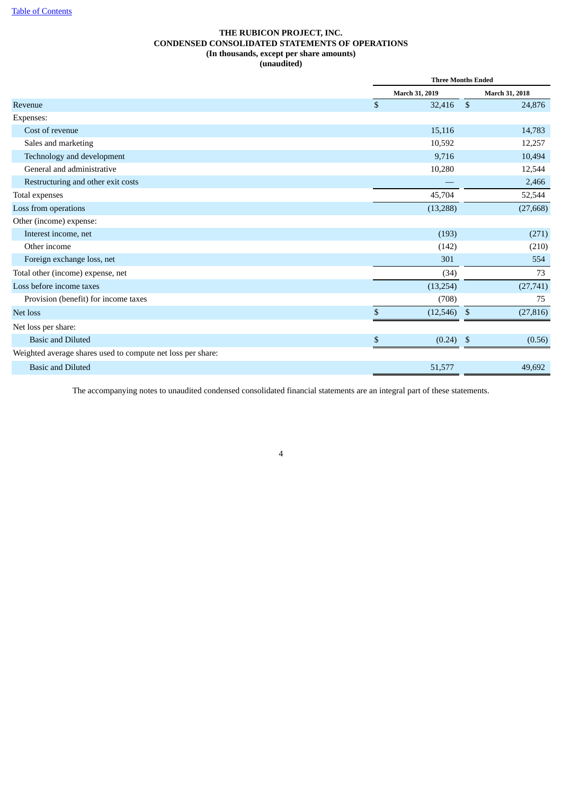## **THE RUBICON PROJECT, INC. CONDENSED CONSOLIDATED STATEMENTS OF OPERATIONS (In thousands, except per share amounts) (unaudited)**

<span id="page-3-0"></span>

|                                                             | <b>Three Months Ended</b> |                |                |
|-------------------------------------------------------------|---------------------------|----------------|----------------|
|                                                             | March 31, 2019            |                | March 31, 2018 |
| Revenue                                                     | \$<br>32,416              | $\mathfrak{S}$ | 24,876         |
| Expenses:                                                   |                           |                |                |
| Cost of revenue                                             | 15,116                    |                | 14,783         |
| Sales and marketing                                         | 10,592                    |                | 12,257         |
| Technology and development                                  | 9,716                     |                | 10,494         |
| General and administrative                                  | 10,280                    |                | 12,544         |
| Restructuring and other exit costs                          |                           |                | 2,466          |
| Total expenses                                              | 45,704                    |                | 52,544         |
| Loss from operations                                        | (13, 288)                 |                | (27, 668)      |
| Other (income) expense:                                     |                           |                |                |
| Interest income, net                                        | (193)                     |                | (271)          |
| Other income                                                | (142)                     |                | (210)          |
| Foreign exchange loss, net                                  | 301                       |                | 554            |
| Total other (income) expense, net                           | (34)                      |                | 73             |
| Loss before income taxes                                    | (13, 254)                 |                | (27, 741)      |
| Provision (benefit) for income taxes                        | (708)                     |                | 75             |
| Net loss                                                    | (12, 546)                 | \$             | (27, 816)      |
| Net loss per share:                                         |                           |                |                |
| <b>Basic and Diluted</b>                                    | \$<br>(0.24)              | -\$            | (0.56)         |
| Weighted average shares used to compute net loss per share: |                           |                |                |
| <b>Basic and Diluted</b>                                    | 51,577                    |                | 49,692         |
|                                                             |                           |                |                |

The accompanying notes to unaudited condensed consolidated financial statements are an integral part of these statements.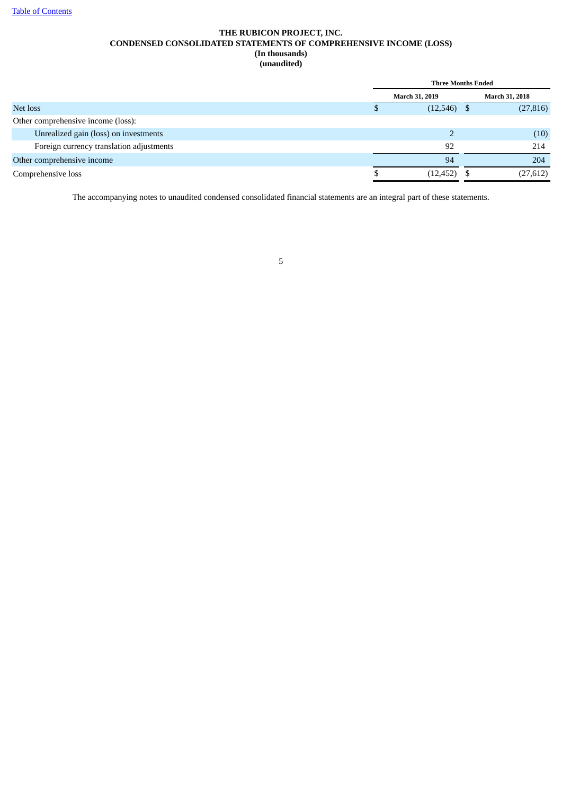## **THE RUBICON PROJECT, INC. CONDENSED CONSOLIDATED STATEMENTS OF COMPREHENSIVE INCOME (LOSS) (In thousands) (unaudited)**

<span id="page-4-0"></span>

|                                          |                | <b>Three Months Ended</b> |  |                |  |
|------------------------------------------|----------------|---------------------------|--|----------------|--|
|                                          | March 31, 2019 |                           |  | March 31, 2018 |  |
| Net loss                                 | ۰D             | $(12,546)$ \$             |  | (27, 816)      |  |
| Other comprehensive income (loss):       |                |                           |  |                |  |
| Unrealized gain (loss) on investments    |                |                           |  | (10)           |  |
| Foreign currency translation adjustments |                | 92                        |  | 214            |  |
| Other comprehensive income               |                | 94                        |  | 204            |  |
| Comprehensive loss                       |                | (12, 452)                 |  | (27, 612)      |  |

The accompanying notes to unaudited condensed consolidated financial statements are an integral part of these statements.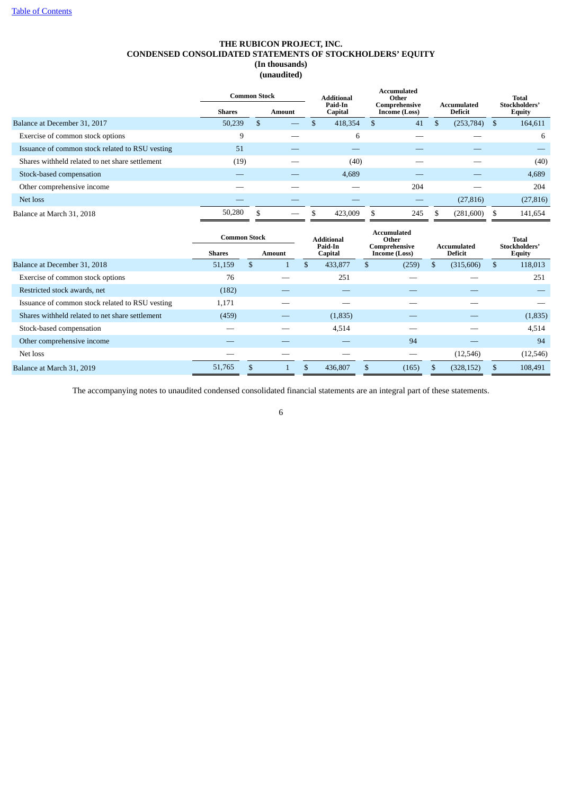## **THE RUBICON PROJECT, INC. CONDENSED CONSOLIDATED STATEMENTS OF STOCKHOLDERS' EQUITY (In thousands) (unaudited)**

<span id="page-5-0"></span>

|                                                 | <b>Common Stock</b> |    |        |    | <b>Accumulated</b><br><b>Additional</b><br>Other |   |                                |    | <b>Total</b>                  |                                |
|-------------------------------------------------|---------------------|----|--------|----|--------------------------------------------------|---|--------------------------------|----|-------------------------------|--------------------------------|
|                                                 | <b>Shares</b>       |    | Amount |    | Paid-In<br><b>Capital</b>                        |   | Comprehensive<br>Income (Loss) |    | Accumulated<br><b>Deficit</b> | Stockholders'<br><b>Equity</b> |
| Balance at December 31, 2017                    | 50,239              | S  | —      | ٠D | 418,354                                          | S | 41                             | -S | (253, 784)                    | \$<br>164,611                  |
| Exercise of common stock options                | 9                   |    |        |    | 6                                                |   |                                |    |                               | 6                              |
| Issuance of common stock related to RSU vesting | 51                  |    |        |    |                                                  |   |                                |    |                               |                                |
| Shares withheld related to net share settlement | (19)                |    |        |    | (40)                                             |   |                                |    |                               | (40)                           |
| Stock-based compensation                        |                     |    |        |    | 4,689                                            |   |                                |    |                               | 4,689                          |
| Other comprehensive income                      |                     |    |        |    |                                                  |   | 204                            |    |                               | 204                            |
| Net loss                                        |                     |    |        |    |                                                  |   |                                |    | (27, 816)                     | (27, 816)                      |
| Balance at March 31, 2018                       | 50,280              | £. |        |    | 423,009                                          |   | 245                            |    | (281,600)                     | 141,654                        |

|                                                 | <b>Common Stock</b> |     |               | <b>Additional</b>  | Accumulated<br>Other |                                |     |                               |    | <b>Total</b>                   |
|-------------------------------------------------|---------------------|-----|---------------|--------------------|----------------------|--------------------------------|-----|-------------------------------|----|--------------------------------|
|                                                 | <b>Shares</b>       |     | <b>Amount</b> | Paid-In<br>Capital |                      | Comprehensive<br>Income (Loss) |     | Accumulated<br><b>Deficit</b> |    | Stockholders'<br><b>Equity</b> |
| Balance at December 31, 2018                    | 51,159              | \$. |               | \$<br>433,877      | \$                   | (259)                          | \$. | (315,606)                     | S  | 118,013                        |
| Exercise of common stock options                | 76                  |     |               | 251                |                      |                                |     |                               |    | 251                            |
| Restricted stock awards, net                    | (182)               |     |               |                    |                      |                                |     |                               |    |                                |
| Issuance of common stock related to RSU vesting | 1,171               |     |               |                    |                      |                                |     |                               |    |                                |
| Shares withheld related to net share settlement | (459)               |     |               | (1,835)            |                      |                                |     |                               |    | (1,835)                        |
| Stock-based compensation                        |                     |     |               | 4,514              |                      |                                |     |                               |    | 4,514                          |
| Other comprehensive income                      |                     |     |               |                    |                      | 94                             |     |                               |    | 94                             |
| Net loss                                        |                     |     |               |                    |                      |                                |     | (12,546)                      |    | (12,546)                       |
| Balance at March 31, 2019                       | 51,765              | \$. |               | \$<br>436.807      | \$                   | (165)                          |     | (328, 152)                    | S. | 108,491                        |

The accompanying notes to unaudited condensed consolidated financial statements are an integral part of these statements.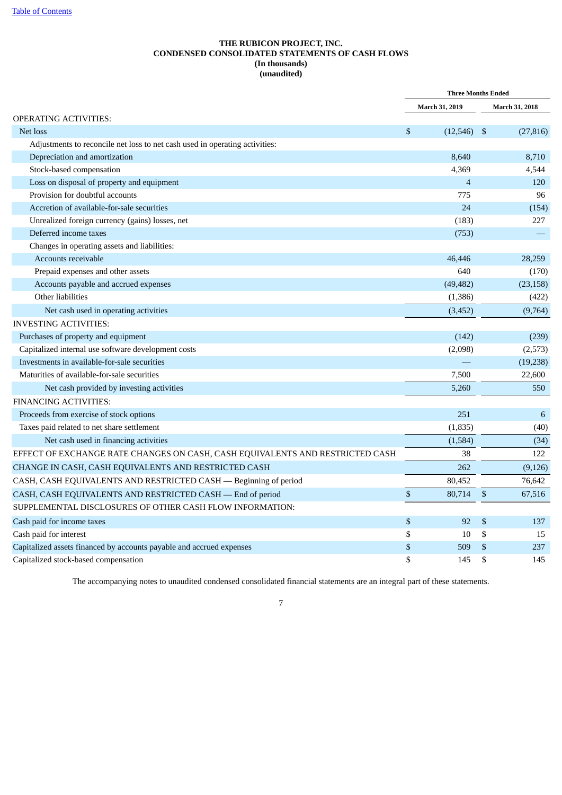## **THE RUBICON PROJECT, INC. CONDENSED CONSOLIDATED STATEMENTS OF CASH FLOWS (In thousands) (unaudited)**

<span id="page-6-0"></span>

|                                                                               | <b>Three Months Ended</b> |                |                |
|-------------------------------------------------------------------------------|---------------------------|----------------|----------------|
|                                                                               | March 31, 2019            |                | March 31, 2018 |
| <b>OPERATING ACTIVITIES:</b>                                                  |                           |                |                |
| Net loss                                                                      | \$<br>(12, 546)           | - \$           | (27, 816)      |
| Adjustments to reconcile net loss to net cash used in operating activities:   |                           |                |                |
| Depreciation and amortization                                                 | 8,640                     |                | 8,710          |
| Stock-based compensation                                                      | 4,369                     |                | 4,544          |
| Loss on disposal of property and equipment                                    | $\overline{4}$            |                | 120            |
| Provision for doubtful accounts                                               | 775                       |                | 96             |
| Accretion of available-for-sale securities                                    | 24                        |                | (154)          |
| Unrealized foreign currency (gains) losses, net                               | (183)                     |                | 227            |
| Deferred income taxes                                                         | (753)                     |                |                |
| Changes in operating assets and liabilities:                                  |                           |                |                |
| Accounts receivable                                                           | 46,446                    |                | 28,259         |
| Prepaid expenses and other assets                                             | 640                       |                | (170)          |
| Accounts payable and accrued expenses                                         | (49, 482)                 |                | (23, 158)      |
| Other liabilities                                                             | (1, 386)                  |                | (422)          |
| Net cash used in operating activities                                         | (3, 452)                  |                | (9,764)        |
| <b>INVESTING ACTIVITIES:</b>                                                  |                           |                |                |
| Purchases of property and equipment                                           | (142)                     |                | (239)          |
| Capitalized internal use software development costs                           | (2,098)                   |                | (2,573)        |
| Investments in available-for-sale securities                                  |                           |                | (19, 238)      |
| Maturities of available-for-sale securities                                   | 7,500                     |                | 22,600         |
| Net cash provided by investing activities                                     | 5,260                     |                | 550            |
| <b>FINANCING ACTIVITIES:</b>                                                  |                           |                |                |
| Proceeds from exercise of stock options                                       | 251                       |                | 6              |
| Taxes paid related to net share settlement                                    | (1, 835)                  |                | (40)           |
| Net cash used in financing activities                                         | (1,584)                   |                | (34)           |
| EFFECT OF EXCHANGE RATE CHANGES ON CASH, CASH EQUIVALENTS AND RESTRICTED CASH | 38                        |                | 122            |
| CHANGE IN CASH, CASH EQUIVALENTS AND RESTRICTED CASH                          | 262                       |                | (9, 126)       |
| CASH, CASH EQUIVALENTS AND RESTRICTED CASH - Beginning of period              | 80,452                    |                | 76,642         |
| CASH, CASH EQUIVALENTS AND RESTRICTED CASH - End of period                    | \$<br>80,714              | \$             | 67,516         |
| SUPPLEMENTAL DISCLOSURES OF OTHER CASH FLOW INFORMATION:                      |                           |                |                |
| Cash paid for income taxes                                                    | \$<br>92                  | $\mathfrak{S}$ | 137            |
| Cash paid for interest                                                        | \$<br>10                  | \$             | 15             |
| Capitalized assets financed by accounts payable and accrued expenses          | \$<br>509                 | \$             | 237            |
| Capitalized stock-based compensation                                          | \$<br>145                 | \$             | 145            |

The accompanying notes to unaudited condensed consolidated financial statements are an integral part of these statements.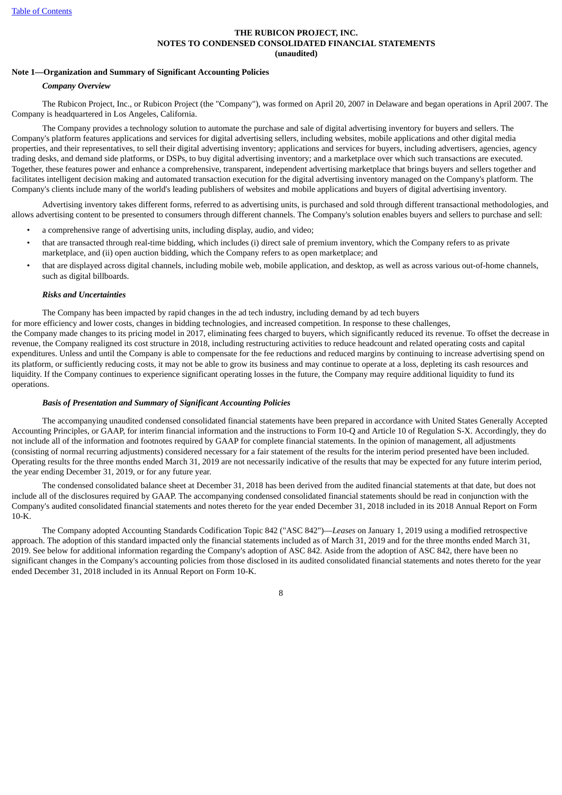## **THE RUBICON PROJECT, INC. NOTES TO CONDENSED CONSOLIDATED FINANCIAL STATEMENTS (unaudited)**

## <span id="page-7-0"></span>**Note 1—Organization and Summary of Significant Accounting Policies**

## *Company Overview*

The Rubicon Project, Inc., or Rubicon Project (the "Company"), was formed on April 20, 2007 in Delaware and began operations in April 2007. The Company is headquartered in Los Angeles, California.

The Company provides a technology solution to automate the purchase and sale of digital advertising inventory for buyers and sellers. The Company's platform features applications and services for digital advertising sellers, including websites, mobile applications and other digital media properties, and their representatives, to sell their digital advertising inventory; applications and services for buyers, including advertisers, agencies, agency trading desks, and demand side platforms, or DSPs, to buy digital advertising inventory; and a marketplace over which such transactions are executed. Together, these features power and enhance a comprehensive, transparent, independent advertising marketplace that brings buyers and sellers together and facilitates intelligent decision making and automated transaction execution for the digital advertising inventory managed on the Company's platform. The Company's clients include many of the world's leading publishers of websites and mobile applications and buyers of digital advertising inventory.

Advertising inventory takes different forms, referred to as advertising units, is purchased and sold through different transactional methodologies, and allows advertising content to be presented to consumers through different channels. The Company's solution enables buyers and sellers to purchase and sell:

- a comprehensive range of advertising units, including display, audio, and video;
- that are transacted through real-time bidding, which includes (i) direct sale of premium inventory, which the Company refers to as private marketplace, and (ii) open auction bidding, which the Company refers to as open marketplace; and
- that are displayed across digital channels, including mobile web, mobile application, and desktop, as well as across various out-of-home channels, such as digital billboards.

## *Risks and Uncertainties*

The Company has been impacted by rapid changes in the ad tech industry, including demand by ad tech buyers

for more efficiency and lower costs, changes in bidding technologies, and increased competition. In response to these challenges, the Company made changes to its pricing model in 2017, eliminating fees charged to buyers, which significantly reduced its revenue. To offset the decrease in revenue, the Company realigned its cost structure in 2018, including restructuring activities to reduce headcount and related operating costs and capital expenditures. Unless and until the Company is able to compensate for the fee reductions and reduced margins by continuing to increase advertising spend on its platform, or sufficiently reducing costs, it may not be able to grow its business and may continue to operate at a loss, depleting its cash resources and liquidity. If the Company continues to experience significant operating losses in the future, the Company may require additional liquidity to fund its operations.

## *Basis of Presentation and Summary of Significant Accounting Policies*

The accompanying unaudited condensed consolidated financial statements have been prepared in accordance with United States Generally Accepted Accounting Principles, or GAAP, for interim financial information and the instructions to Form 10-Q and Article 10 of Regulation S-X. Accordingly, they do not include all of the information and footnotes required by GAAP for complete financial statements. In the opinion of management, all adjustments (consisting of normal recurring adjustments) considered necessary for a fair statement of the results for the interim period presented have been included. Operating results for the three months ended March 31, 2019 are not necessarily indicative of the results that may be expected for any future interim period, the year ending December 31, 2019, or for any future year.

The condensed consolidated balance sheet at December 31, 2018 has been derived from the audited financial statements at that date, but does not include all of the disclosures required by GAAP. The accompanying condensed consolidated financial statements should be read in conjunction with the Company's audited consolidated financial statements and notes thereto for the year ended December 31, 2018 included in its 2018 Annual Report on Form 10-K.

The Company adopted Accounting Standards Codification Topic 842 ("ASC 842")—*Leases* on January 1, 2019 using a modified retrospective approach. The adoption of this standard impacted only the financial statements included as of March 31, 2019 and for the three months ended March 31, 2019. See below for additional information regarding the Company's adoption of ASC 842. Aside from the adoption of ASC 842, there have been no significant changes in the Company's accounting policies from those disclosed in its audited consolidated financial statements and notes thereto for the year ended December 31, 2018 included in its Annual Report on Form 10-K.

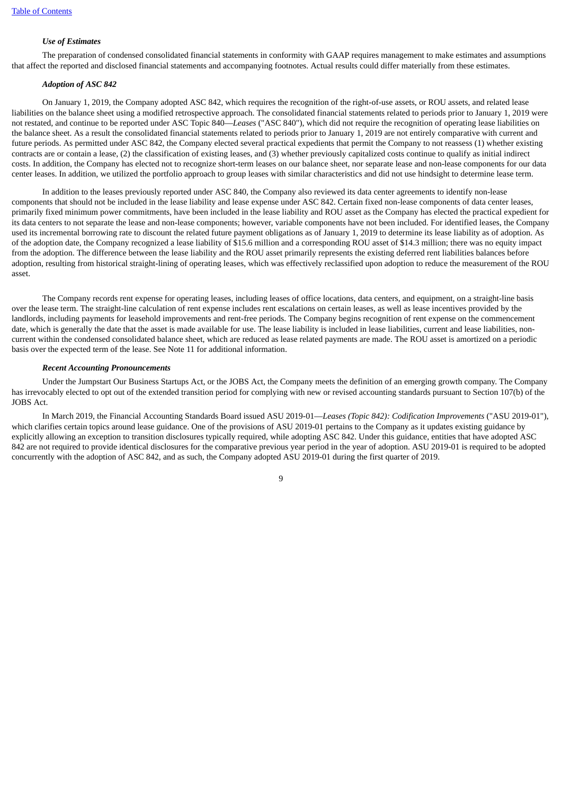## *Use of Estimates*

The preparation of condensed consolidated financial statements in conformity with GAAP requires management to make estimates and assumptions that affect the reported and disclosed financial statements and accompanying footnotes. Actual results could differ materially from these estimates.

#### *Adoption of ASC 842*

On January 1, 2019, the Company adopted ASC 842, which requires the recognition of the right-of-use assets, or ROU assets, and related lease liabilities on the balance sheet using a modified retrospective approach. The consolidated financial statements related to periods prior to January 1, 2019 were not restated, and continue to be reported under ASC Topic 840—*Leases* ("ASC 840"), which did not require the recognition of operating lease liabilities on the balance sheet. As a result the consolidated financial statements related to periods prior to January 1, 2019 are not entirely comparative with current and future periods. As permitted under ASC 842, the Company elected several practical expedients that permit the Company to not reassess (1) whether existing contracts are or contain a lease, (2) the classification of existing leases, and (3) whether previously capitalized costs continue to qualify as initial indirect costs. In addition, the Company has elected not to recognize short-term leases on our balance sheet, nor separate lease and non-lease components for our data center leases. In addition, we utilized the portfolio approach to group leases with similar characteristics and did not use hindsight to determine lease term.

In addition to the leases previously reported under ASC 840, the Company also reviewed its data center agreements to identify non-lease components that should not be included in the lease liability and lease expense under ASC 842. Certain fixed non-lease components of data center leases, primarily fixed minimum power commitments, have been included in the lease liability and ROU asset as the Company has elected the practical expedient for its data centers to not separate the lease and non-lease components; however, variable components have not been included. For identified leases, the Company used its incremental borrowing rate to discount the related future payment obligations as of January 1, 2019 to determine its lease liability as of adoption. As of the adoption date, the Company recognized a lease liability of \$15.6 million and a corresponding ROU asset of \$14.3 million; there was no equity impact from the adoption. The difference between the lease liability and the ROU asset primarily represents the existing deferred rent liabilities balances before adoption, resulting from historical straight-lining of operating leases, which was effectively reclassified upon adoption to reduce the measurement of the ROU asset.

The Company records rent expense for operating leases, including leases of office locations, data centers, and equipment, on a straight-line basis over the lease term. The straight-line calculation of rent expense includes rent escalations on certain leases, as well as lease incentives provided by the landlords, including payments for leasehold improvements and rent-free periods. The Company begins recognition of rent expense on the commencement date, which is generally the date that the asset is made available for use. The lease liability is included in lease liabilities, current and lease liabilities, noncurrent within the condensed consolidated balance sheet, which are reduced as lease related payments are made. The ROU asset is amortized on a periodic basis over the expected term of the lease. See Note 11 for additional information.

#### *Recent Accounting Pronouncements*

Under the Jumpstart Our Business Startups Act, or the JOBS Act, the Company meets the definition of an emerging growth company. The Company has irrevocably elected to opt out of the extended transition period for complying with new or revised accounting standards pursuant to Section 107(b) of the JOBS Act.

In March 2019, the Financial Accounting Standards Board issued ASU 2019-01—*Leases (Topic 842): Codification Improvements* ("ASU 2019-01"), which clarifies certain topics around lease guidance. One of the provisions of ASU 2019-01 pertains to the Company as it updates existing guidance by explicitly allowing an exception to transition disclosures typically required, while adopting ASC 842. Under this guidance, entities that have adopted ASC 842 are not required to provide identical disclosures for the comparative previous year period in the year of adoption. ASU 2019-01 is required to be adopted concurrently with the adoption of ASC 842, and as such, the Company adopted ASU 2019-01 during the first quarter of 2019.

 $\overline{q}$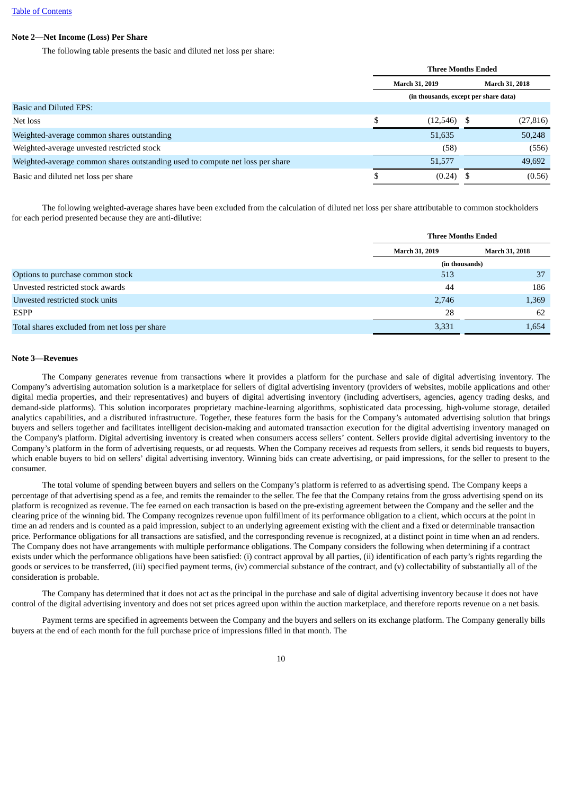# **Note 2—Net Income (Loss) Per Share**

The following table presents the basic and diluted net loss per share:

|                                                                               | <b>Three Months Ended</b>             |  |                       |  |
|-------------------------------------------------------------------------------|---------------------------------------|--|-----------------------|--|
|                                                                               | <b>March 31, 2019</b>                 |  | <b>March 31, 2018</b> |  |
|                                                                               | (in thousands, except per share data) |  |                       |  |
| Basic and Diluted EPS:                                                        |                                       |  |                       |  |
| Net loss                                                                      | (12,546)                              |  | (27, 816)             |  |
| Weighted-average common shares outstanding                                    | 51,635                                |  | 50,248                |  |
| Weighted-average unvested restricted stock                                    | (58)                                  |  | (556)                 |  |
| Weighted-average common shares outstanding used to compute net loss per share | 51,577                                |  | 49,692                |  |
| Basic and diluted net loss per share                                          | (0.24)                                |  | (0.56)                |  |
|                                                                               |                                       |  |                       |  |

The following weighted-average shares have been excluded from the calculation of diluted net loss per share attributable to common stockholders for each period presented because they are anti-dilutive:

|                                               | <b>Three Months Ended</b> |                |
|-----------------------------------------------|---------------------------|----------------|
|                                               | <b>March 31, 2019</b>     | March 31, 2018 |
|                                               | (in thousands)            |                |
| Options to purchase common stock              | 513                       | 37             |
| Unvested restricted stock awards              | 44                        | 186            |
| Unvested restricted stock units               | 2,746                     | 1,369          |
| <b>ESPP</b>                                   | 28                        | 62             |
| Total shares excluded from net loss per share | 3,331                     | 1,654          |

## **Note 3—Revenues**

The Company generates revenue from transactions where it provides a platform for the purchase and sale of digital advertising inventory. The Company's advertising automation solution is a marketplace for sellers of digital advertising inventory (providers of websites, mobile applications and other digital media properties, and their representatives) and buyers of digital advertising inventory (including advertisers, agencies, agency trading desks, and demand-side platforms). This solution incorporates proprietary machine-learning algorithms, sophisticated data processing, high-volume storage, detailed analytics capabilities, and a distributed infrastructure. Together, these features form the basis for the Company's automated advertising solution that brings buyers and sellers together and facilitates intelligent decision-making and automated transaction execution for the digital advertising inventory managed on the Company's platform. Digital advertising inventory is created when consumers access sellers' content. Sellers provide digital advertising inventory to the Company's platform in the form of advertising requests, or ad requests. When the Company receives ad requests from sellers, it sends bid requests to buyers, which enable buyers to bid on sellers' digital advertising inventory. Winning bids can create advertising, or paid impressions, for the seller to present to the consumer.

The total volume of spending between buyers and sellers on the Company's platform is referred to as advertising spend. The Company keeps a percentage of that advertising spend as a fee, and remits the remainder to the seller. The fee that the Company retains from the gross advertising spend on its platform is recognized as revenue. The fee earned on each transaction is based on the pre-existing agreement between the Company and the seller and the clearing price of the winning bid. The Company recognizes revenue upon fulfillment of its performance obligation to a client, which occurs at the point in time an ad renders and is counted as a paid impression, subject to an underlying agreement existing with the client and a fixed or determinable transaction price. Performance obligations for all transactions are satisfied, and the corresponding revenue is recognized, at a distinct point in time when an ad renders. The Company does not have arrangements with multiple performance obligations. The Company considers the following when determining if a contract exists under which the performance obligations have been satisfied: (i) contract approval by all parties, (ii) identification of each party's rights regarding the goods or services to be transferred, (iii) specified payment terms, (iv) commercial substance of the contract, and (v) collectability of substantially all of the consideration is probable.

The Company has determined that it does not act as the principal in the purchase and sale of digital advertising inventory because it does not have control of the digital advertising inventory and does not set prices agreed upon within the auction marketplace, and therefore reports revenue on a net basis.

Payment terms are specified in agreements between the Company and the buyers and sellers on its exchange platform. The Company generally bills buyers at the end of each month for the full purchase price of impressions filled in that month. The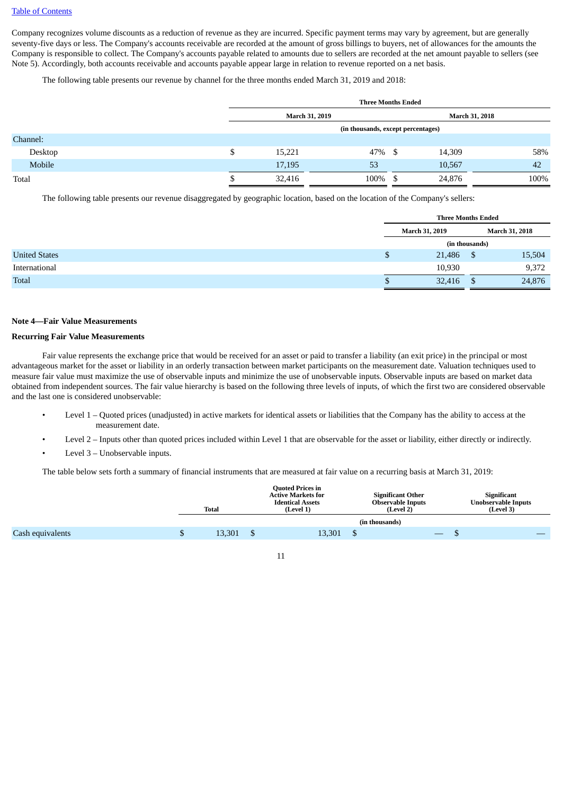Company recognizes volume discounts as a reduction of revenue as they are incurred. Specific payment terms may vary by agreement, but are generally seventy-five days or less. The Company's accounts receivable are recorded at the amount of gross billings to buyers, net of allowances for the amounts the Company is responsible to collect. The Company's accounts payable related to amounts due to sellers are recorded at the net amount payable to sellers (see Note 5). Accordingly, both accounts receivable and accounts payable appear large in relation to revenue reported on a net basis.

The following table presents our revenue by channel for the three months ended March 31, 2019 and 2018:

|          |    |        |                | <b>Three Months Ended</b>          |                       |
|----------|----|--------|----------------|------------------------------------|-----------------------|
|          |    |        | March 31, 2019 |                                    | <b>March 31, 2018</b> |
|          |    |        |                | (in thousands, except percentages) |                       |
| Channel: |    |        |                |                                    |                       |
| Desktop  | \$ | 15,221 | 47%            | 14,309<br>-S                       | 58%                   |
| Mobile   |    | 17,195 | 53             | 10,567                             | 42                    |
| Total    | ╜  | 32,416 | 100%           | 24,876<br>S                        | 100%                  |

The following table presents our revenue disaggregated by geographic location, based on the location of the Company's sellers:

|                      |    | <b>Three Months Ended</b> |    |                       |  |  |
|----------------------|----|---------------------------|----|-----------------------|--|--|
|                      |    | <b>March 31, 2019</b>     |    | <b>March 31, 2018</b> |  |  |
|                      |    | (in thousands)            |    |                       |  |  |
| <b>United States</b> | \$ | 21,486                    | \$ | 15,504                |  |  |
| International        |    | 10,930                    |    | 9,372                 |  |  |
| Total                | Φ  | 32,416                    |    | 24,876                |  |  |

#### **Note 4—Fair Value Measurements**

## **Recurring Fair Value Measurements**

Fair value represents the exchange price that would be received for an asset or paid to transfer a liability (an exit price) in the principal or most advantageous market for the asset or liability in an orderly transaction between market participants on the measurement date. Valuation techniques used to measure fair value must maximize the use of observable inputs and minimize the use of unobservable inputs. Observable inputs are based on market data obtained from independent sources. The fair value hierarchy is based on the following three levels of inputs, of which the first two are considered observable and the last one is considered unobservable:

- Level 1 Quoted prices (unadjusted) in active markets for identical assets or liabilities that the Company has the ability to access at the measurement date.
- Level 2 Inputs other than quoted prices included within Level 1 that are observable for the asset or liability, either directly or indirectly.
- Level 3 Unobservable inputs.

The table below sets forth a summary of financial instruments that are measured at fair value on a recurring basis at March 31, 2019:

|                  | <b>Total</b> | <b>Quoted Prices in</b><br><b>Active Markets for</b><br><b>Identical Assets</b><br>(Level 1) |                | <b>Significant Other</b><br><b>Observable Inputs</b><br>(Level 2) | Significant<br><b>Unobservable Inputs</b><br>(Level 3) |  |
|------------------|--------------|----------------------------------------------------------------------------------------------|----------------|-------------------------------------------------------------------|--------------------------------------------------------|--|
|                  |              |                                                                                              | (in thousands) |                                                                   |                                                        |  |
| Cash equivalents | 13,301       | 13,301                                                                                       |                |                                                                   |                                                        |  |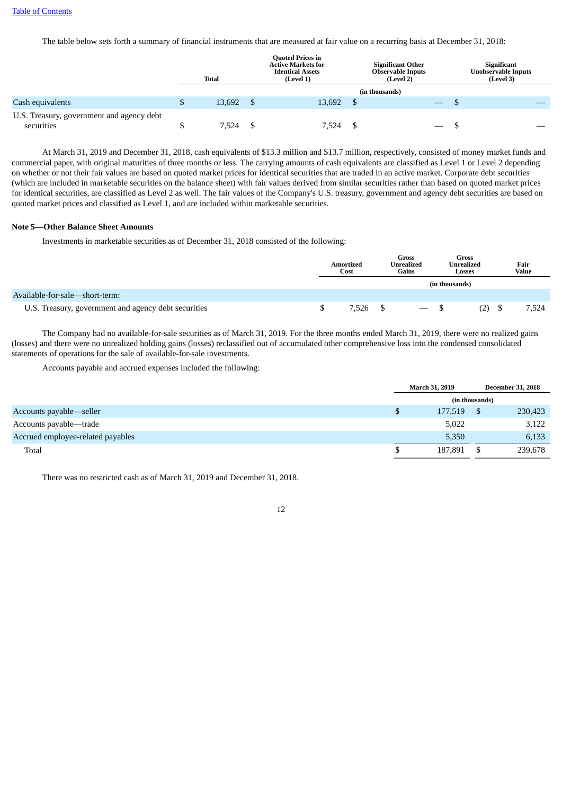The table below sets forth a summary of financial instruments that are measured at fair value on a recurring basis at December 31, 2018:

|                                                         | Total  | <b>Quoted Prices in</b><br><b>Active Markets for</b><br><b>Identical Assets</b><br>(Level 1) | <b>Significant Other</b><br><b>Observable Inputs</b><br>(Level 2) |                          | <b>Significant</b><br><b>Unobservable Inputs</b><br>(Level 3) |  |
|---------------------------------------------------------|--------|----------------------------------------------------------------------------------------------|-------------------------------------------------------------------|--------------------------|---------------------------------------------------------------|--|
|                                                         |        |                                                                                              | (in thousands)                                                    |                          |                                                               |  |
| Cash equivalents                                        | 13,692 | 13,692                                                                                       |                                                                   |                          |                                                               |  |
| U.S. Treasury, government and agency debt<br>securities | 7.524  | 7,524                                                                                        |                                                                   | $\overline{\phantom{0}}$ |                                                               |  |

At March 31, 2019 and December 31, 2018, cash equivalents of \$13.3 million and \$13.7 million, respectively, consisted of money market funds and commercial paper, with original maturities of three months or less. The carrying amounts of cash equivalents are classified as Level 1 or Level 2 depending on whether or not their fair values are based on quoted market prices for identical securities that are traded in an active market. Corporate debt securities (which are included in marketable securities on the balance sheet) with fair values derived from similar securities rather than based on quoted market prices for identical securities, are classified as Level 2 as well. The fair values of the Company's U.S. treasury, government and agency debt securities are based on quoted market prices and classified as Level 1, and are included within marketable securities.

#### **Note 5—Other Balance Sheet Amounts**

Investments in marketable securities as of December 31, 2018 consisted of the following:

|                                                      | <b>Amortized</b><br>Cost | Gross<br><b>Unrealized</b><br>Gains |        | <b>Gross</b><br>Unrealized<br>Losses | Fair<br>Value |  |
|------------------------------------------------------|--------------------------|-------------------------------------|--------|--------------------------------------|---------------|--|
|                                                      |                          | (in thousands)                      |        |                                      |               |  |
| Available-for-sale-short-term:                       |                          |                                     |        |                                      |               |  |
| U.S. Treasury, government and agency debt securities | 7.526                    |                                     | $-$ \$ | (2)                                  | 7,524         |  |

The Company had no available-for-sale securities as of March 31, 2019. For the three months ended March 31, 2019, there were no realized gains (losses) and there were no unrealized holding gains (losses) reclassified out of accumulated other comprehensive loss into the condensed consolidated statements of operations for the sale of available-for-sale investments.

Accounts payable and accrued expenses included the following:

|                                   | <b>March 31, 2019</b> |  | <b>December 31, 2018</b> |
|-----------------------------------|-----------------------|--|--------------------------|
|                                   | (in thousands)        |  |                          |
| Accounts payable—seller           | \$<br>177,519         |  | 230,423                  |
| Accounts payable—trade            | 5,022                 |  | 3,122                    |
| Accrued employee-related payables | 5,350                 |  | 6,133                    |
| Total                             | 187,891               |  | 239,678                  |

There was no restricted cash as of March 31, 2019 and December 31, 2018.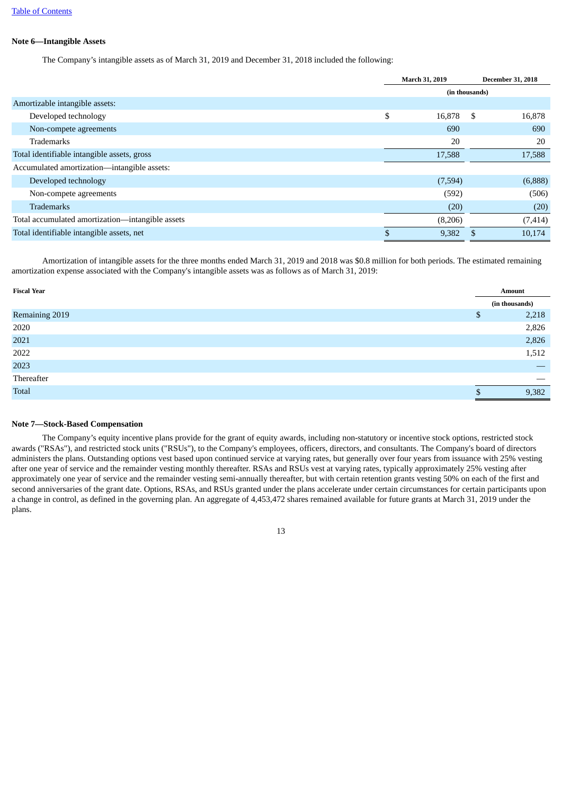## **Note 6—Intangible Assets**

The Company's intangible assets as of March 31, 2019 and December 31, 2018 included the following:

|                                                  | March 31, 2019 |                | <b>December 31, 2018</b> |  |
|--------------------------------------------------|----------------|----------------|--------------------------|--|
|                                                  |                | (in thousands) |                          |  |
| Amortizable intangible assets:                   |                |                |                          |  |
| Developed technology                             | \$<br>16,878   | \$             | 16,878                   |  |
| Non-compete agreements                           | 690            |                | 690                      |  |
| <b>Trademarks</b>                                | 20             |                | 20                       |  |
| Total identifiable intangible assets, gross      | 17,588         |                | 17,588                   |  |
| Accumulated amortization—intangible assets:      |                |                |                          |  |
| Developed technology                             | (7,594)        |                | (6,888)                  |  |
| Non-compete agreements                           | (592)          |                | (506)                    |  |
| <b>Trademarks</b>                                | (20)           |                | (20)                     |  |
| Total accumulated amortization-intangible assets | (8,206)        |                | (7, 414)                 |  |
| Total identifiable intangible assets, net        | 9,382          |                | 10,174                   |  |

Amortization of intangible assets for the three months ended March 31, 2019 and 2018 was \$0.8 million for both periods. The estimated remaining amortization expense associated with the Company's intangible assets was as follows as of March 31, 2019:

| <b>Fiscal Year</b> | <b>Amount</b>  |
|--------------------|----------------|
|                    | (in thousands) |
| Remaining 2019     | \$<br>2,218    |
| 2020               | 2,826          |
| 2021               | 2,826          |
| 2022               | 1,512          |
| 2023               | –              |
| Thereafter         |                |
| <b>Total</b>       | 9,382          |
|                    |                |

## **Note 7—Stock-Based Compensation**

The Company's equity incentive plans provide for the grant of equity awards, including non-statutory or incentive stock options, restricted stock awards ("RSAs"), and restricted stock units ("RSUs"), to the Company's employees, officers, directors, and consultants. The Company's board of directors administers the plans. Outstanding options vest based upon continued service at varying rates, but generally over four years from issuance with 25% vesting after one year of service and the remainder vesting monthly thereafter. RSAs and RSUs vest at varying rates, typically approximately 25% vesting after approximately one year of service and the remainder vesting semi-annually thereafter, but with certain retention grants vesting 50% on each of the first and second anniversaries of the grant date. Options, RSAs, and RSUs granted under the plans accelerate under certain circumstances for certain participants upon a change in control, as defined in the governing plan. An aggregate of 4,453,472 shares remained available for future grants at March 31, 2019 under the plans.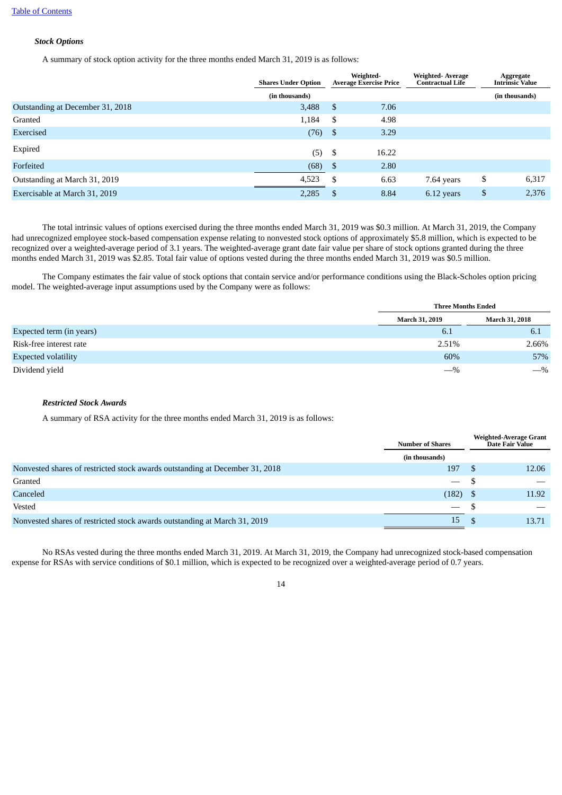## *Stock Options*

A summary of stock option activity for the three months ended March 31, 2019 is as follows:

|                                  | <b>Shares Under Option</b> | Weighted-<br><b>Average Exercise Price</b> |       |            |                | <b>Weighted-Average</b><br><b>Contractual Life</b> | Aggregate<br><b>Intrinsic Value</b> |
|----------------------------------|----------------------------|--------------------------------------------|-------|------------|----------------|----------------------------------------------------|-------------------------------------|
|                                  | (in thousands)             |                                            |       |            | (in thousands) |                                                    |                                     |
| Outstanding at December 31, 2018 | 3,488                      | - \$                                       | 7.06  |            |                |                                                    |                                     |
| Granted                          | 1,184                      | -S                                         | 4.98  |            |                |                                                    |                                     |
| Exercised                        | (76)                       | - \$                                       | 3.29  |            |                |                                                    |                                     |
| Expired                          | (5)                        | - \$                                       | 16.22 |            |                |                                                    |                                     |
| Forfeited                        | (68)                       | - \$                                       | 2.80  |            |                |                                                    |                                     |
| Outstanding at March 31, 2019    | 4,523                      | -\$                                        | 6.63  | 7.64 years | \$<br>6,317    |                                                    |                                     |
| Exercisable at March 31, 2019    | 2,285                      | S                                          | 8.84  | 6.12 years | \$<br>2,376    |                                                    |                                     |

The total intrinsic values of options exercised during the three months ended March 31, 2019 was \$0.3 million. At March 31, 2019, the Company had unrecognized employee stock-based compensation expense relating to nonvested stock options of approximately \$5.8 million, which is expected to be recognized over a weighted-average period of 3.1 years. The weighted-average grant date fair value per share of stock options granted during the three months ended March 31, 2019 was \$2.85. Total fair value of options vested during the three months ended March 31, 2019 was \$0.5 million.

The Company estimates the fair value of stock options that contain service and/or performance conditions using the Black-Scholes option pricing model. The weighted-average input assumptions used by the Company were as follows:

|                            |                       | <b>Three Months Ended</b> |
|----------------------------|-----------------------|---------------------------|
|                            | <b>March 31, 2019</b> | <b>March 31, 2018</b>     |
| Expected term (in years)   | 6.1                   | 6.1                       |
| Risk-free interest rate    | 2.51%                 | 2.66%                     |
| <b>Expected volatility</b> | 60%                   | 57%                       |
| Dividend yield             | $-$ %                 | $-$ %                     |

## *Restricted Stock Awards*

A summary of RSA activity for the three months ended March 31, 2019 is as follows:

|                                                                              | <b>Number of Shares</b> |      | Weighted-Average Grant<br>Date Fair Value |
|------------------------------------------------------------------------------|-------------------------|------|-------------------------------------------|
|                                                                              | (in thousands)          |      |                                           |
| Nonvested shares of restricted stock awards outstanding at December 31, 2018 | 197                     |      | 12.06                                     |
| Granted                                                                      |                         | S    |                                           |
| Canceled                                                                     | (182)                   | - \$ | 11.92                                     |
| Vested                                                                       |                         |      |                                           |
| Nonvested shares of restricted stock awards outstanding at March 31, 2019    | 15                      |      | 13.71                                     |

No RSAs vested during the three months ended March 31, 2019. At March 31, 2019, the Company had unrecognized stock-based compensation expense for RSAs with service conditions of \$0.1 million, which is expected to be recognized over a weighted-average period of 0.7 years.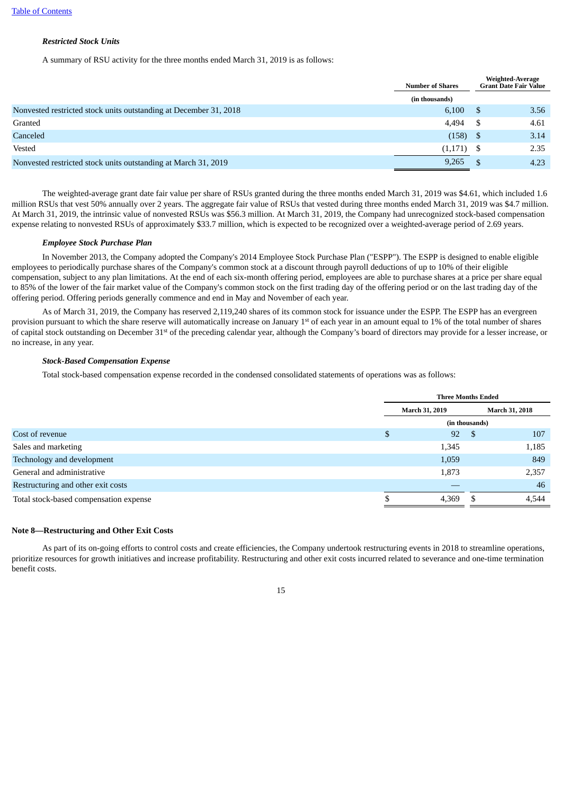## *Restricted Stock Units*

A summary of RSU activity for the three months ended March 31, 2019 is as follows:

|                                                                   | <b>Number of Shares</b> |      | Weighted-Average<br><b>Grant Date Fair Value</b> |  |
|-------------------------------------------------------------------|-------------------------|------|--------------------------------------------------|--|
|                                                                   | (in thousands)          |      |                                                  |  |
| Nonvested restricted stock units outstanding at December 31, 2018 | 6,100                   |      | 3.56                                             |  |
| Granted                                                           | 4,494                   |      | 4.61                                             |  |
| Canceled                                                          | (158)                   | - \$ | 3.14                                             |  |
| Vested                                                            | (1,171)                 |      | 2.35                                             |  |
| Nonvested restricted stock units outstanding at March 31, 2019    | 9,265                   |      | 4.23                                             |  |

The weighted-average grant date fair value per share of RSUs granted during the three months ended March 31, 2019 was \$4.61, which included 1.6 million RSUs that vest 50% annually over 2 years. The aggregate fair value of RSUs that vested during three months ended March 31, 2019 was \$4.7 million. At March 31, 2019, the intrinsic value of nonvested RSUs was \$56.3 million. At March 31, 2019, the Company had unrecognized stock-based compensation expense relating to nonvested RSUs of approximately \$33.7 million, which is expected to be recognized over a weighted-average period of 2.69 years.

#### *Employee Stock Purchase Plan*

In November 2013, the Company adopted the Company's 2014 Employee Stock Purchase Plan ("ESPP"). The ESPP is designed to enable eligible employees to periodically purchase shares of the Company's common stock at a discount through payroll deductions of up to 10% of their eligible compensation, subject to any plan limitations. At the end of each six-month offering period, employees are able to purchase shares at a price per share equal to 85% of the lower of the fair market value of the Company's common stock on the first trading day of the offering period or on the last trading day of the offering period. Offering periods generally commence and end in May and November of each year.

As of March 31, 2019, the Company has reserved 2,119,240 shares of its common stock for issuance under the ESPP. The ESPP has an evergreen provision pursuant to which the share reserve will automatically increase on January 1<sup>st</sup> of each year in an amount equal to 1% of the total number of shares of capital stock outstanding on December 31<sup>st</sup> of the preceding calendar year, although the Company's board of directors may provide for a lesser increase, or no increase, in any year.

## *Stock-Based Compensation Expense*

Total stock-based compensation expense recorded in the condensed consolidated statements of operations was as follows:

|                                        | <b>Three Months Ended</b> |                |      |                       |  |
|----------------------------------------|---------------------------|----------------|------|-----------------------|--|
|                                        | <b>March 31, 2019</b>     |                |      | <b>March 31, 2018</b> |  |
|                                        |                           | (in thousands) |      |                       |  |
| Cost of revenue                        | \$                        | 92             | - \$ | 107                   |  |
| Sales and marketing                    |                           | 1,345          |      | 1,185                 |  |
| Technology and development             |                           | 1,059          |      | 849                   |  |
| General and administrative             |                           | 1,873          |      | 2,357                 |  |
| Restructuring and other exit costs     |                           |                |      | 46                    |  |
| Total stock-based compensation expense |                           | 4,369          |      | 4,544                 |  |

## **Note 8—Restructuring and Other Exit Costs**

As part of its on-going efforts to control costs and create efficiencies, the Company undertook restructuring events in 2018 to streamline operations, prioritize resources for growth initiatives and increase profitability. Restructuring and other exit costs incurred related to severance and one-time termination .<br>benefit costs.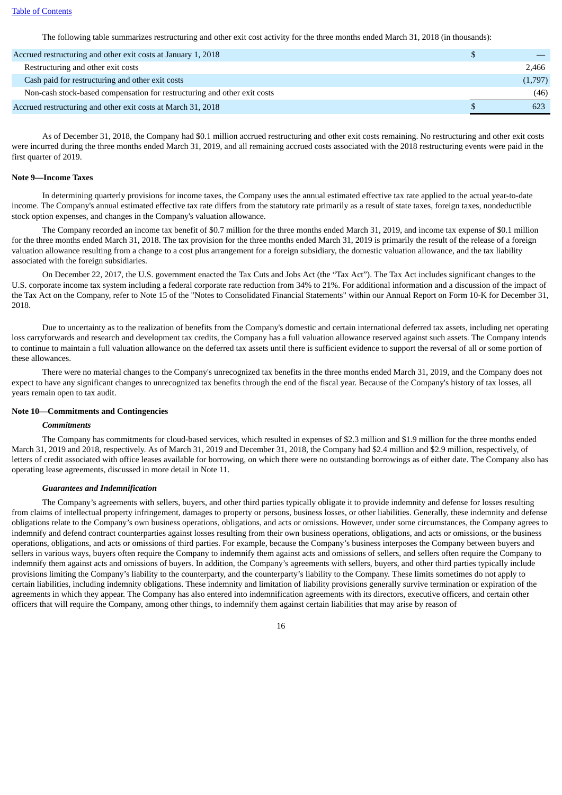The following table summarizes restructuring and other exit cost activity for the three months ended March 31, 2018 (in thousands):

| Accrued restructuring and other exit costs at January 1, 2018            |         |
|--------------------------------------------------------------------------|---------|
| Restructuring and other exit costs                                       | 2.466   |
| Cash paid for restructuring and other exit costs                         | (1,797) |
| Non-cash stock-based compensation for restructuring and other exit costs | (46)    |
| Accrued restructuring and other exit costs at March 31, 2018             | 623     |

As of December 31, 2018, the Company had \$0.1 million accrued restructuring and other exit costs remaining. No restructuring and other exit costs were incurred during the three months ended March 31, 2019, and all remaining accrued costs associated with the 2018 restructuring events were paid in the first quarter of 2019.

#### **Note 9—Income Taxes**

In determining quarterly provisions for income taxes, the Company uses the annual estimated effective tax rate applied to the actual year-to-date income. The Company's annual estimated effective tax rate differs from the statutory rate primarily as a result of state taxes, foreign taxes, nondeductible stock option expenses, and changes in the Company's valuation allowance.

The Company recorded an income tax benefit of \$0.7 million for the three months ended March 31, 2019, and income tax expense of \$0.1 million for the three months ended March 31, 2018. The tax provision for the three months ended March 31, 2019 is primarily the result of the release of a foreign valuation allowance resulting from a change to a cost plus arrangement for a foreign subsidiary, the domestic valuation allowance, and the tax liability associated with the foreign subsidiaries.

On December 22, 2017, the U.S. government enacted the Tax Cuts and Jobs Act (the "Tax Act"). The Tax Act includes significant changes to the U.S. corporate income tax system including a federal corporate rate reduction from 34% to 21%. For additional information and a discussion of the impact of the Tax Act on the Company, refer to Note 15 of the "Notes to Consolidated Financial Statements" within our Annual Report on Form 10-K for December 31, 2018.

Due to uncertainty as to the realization of benefits from the Company's domestic and certain international deferred tax assets, including net operating loss carryforwards and research and development tax credits, the Company has a full valuation allowance reserved against such assets. The Company intends to continue to maintain a full valuation allowance on the deferred tax assets until there is sufficient evidence to support the reversal of all or some portion of these allowances.

There were no material changes to the Company's unrecognized tax benefits in the three months ended March 31, 2019, and the Company does not expect to have any significant changes to unrecognized tax benefits through the end of the fiscal year. Because of the Company's history of tax losses, all years remain open to tax audit.

## **Note 10—Commitments and Contingencies**

#### *Commitments*

The Company has commitments for cloud-based services, which resulted in expenses of \$2.3 million and \$1.9 million for the three months ended March 31, 2019 and 2018, respectively. As of March 31, 2019 and December 31, 2018, the Company had \$2.4 million and \$2.9 million, respectively, of letters of credit associated with office leases available for borrowing, on which there were no outstanding borrowings as of either date. The Company also has operating lease agreements, discussed in more detail in Note 11.

#### *Guarantees and Indemnification*

The Company's agreements with sellers, buyers, and other third parties typically obligate it to provide indemnity and defense for losses resulting from claims of intellectual property infringement, damages to property or persons, business losses, or other liabilities. Generally, these indemnity and defense obligations relate to the Company's own business operations, obligations, and acts or omissions. However, under some circumstances, the Company agrees to indemnify and defend contract counterparties against losses resulting from their own business operations, obligations, and acts or omissions, or the business operations, obligations, and acts or omissions of third parties. For example, because the Company's business interposes the Company between buyers and sellers in various ways, buyers often require the Company to indemnify them against acts and omissions of sellers, and sellers often require the Company to indemnify them against acts and omissions of buyers. In addition, the Company's agreements with sellers, buyers, and other third parties typically include provisions limiting the Company's liability to the counterparty, and the counterparty's liability to the Company. These limits sometimes do not apply to certain liabilities, including indemnity obligations. These indemnity and limitation of liability provisions generally survive termination or expiration of the agreements in which they appear. The Company has also entered into indemnification agreements with its directors, executive officers, and certain other officers that will require the Company, among other things, to indemnify them against certain liabilities that may arise by reason of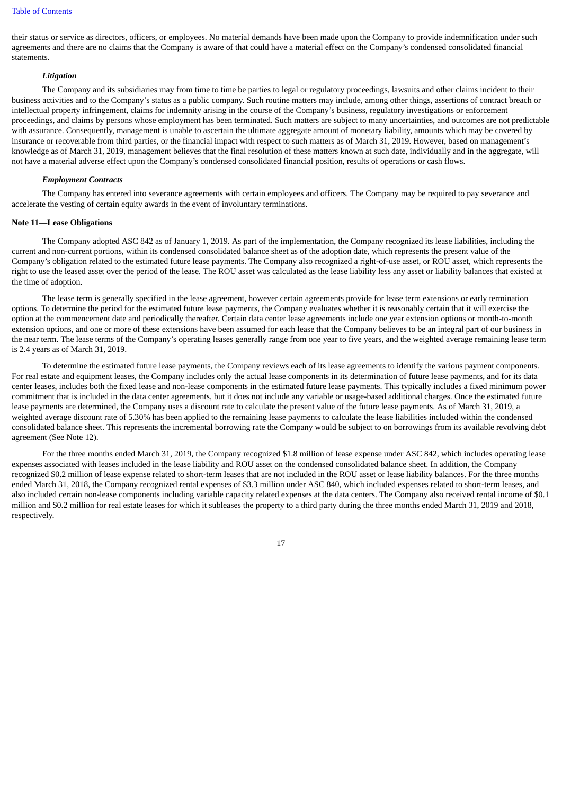their status or service as directors, officers, or employees. No material demands have been made upon the Company to provide indemnification under such agreements and there are no claims that the Company is aware of that could have a material effect on the Company's condensed consolidated financial statements.

## *Litigation*

The Company and its subsidiaries may from time to time be parties to legal or regulatory proceedings, lawsuits and other claims incident to their business activities and to the Company's status as a public company. Such routine matters may include, among other things, assertions of contract breach or intellectual property infringement, claims for indemnity arising in the course of the Company's business, regulatory investigations or enforcement proceedings, and claims by persons whose employment has been terminated. Such matters are subject to many uncertainties, and outcomes are not predictable with assurance. Consequently, management is unable to ascertain the ultimate aggregate amount of monetary liability, amounts which may be covered by insurance or recoverable from third parties, or the financial impact with respect to such matters as of March 31, 2019. However, based on management's knowledge as of March 31, 2019, management believes that the final resolution of these matters known at such date, individually and in the aggregate, will not have a material adverse effect upon the Company's condensed consolidated financial position, results of operations or cash flows.

## *Employment Contracts*

The Company has entered into severance agreements with certain employees and officers. The Company may be required to pay severance and accelerate the vesting of certain equity awards in the event of involuntary terminations.

#### **Note 11—Lease Obligations**

The Company adopted ASC 842 as of January 1, 2019. As part of the implementation, the Company recognized its lease liabilities, including the current and non-current portions, within its condensed consolidated balance sheet as of the adoption date, which represents the present value of the Company's obligation related to the estimated future lease payments. The Company also recognized a right-of-use asset, or ROU asset, which represents the right to use the leased asset over the period of the lease. The ROU asset was calculated as the lease liability less any asset or liability balances that existed at the time of adoption.

The lease term is generally specified in the lease agreement, however certain agreements provide for lease term extensions or early termination options. To determine the period for the estimated future lease payments, the Company evaluates whether it is reasonably certain that it will exercise the option at the commencement date and periodically thereafter. Certain data center lease agreements include one year extension options or month-to-month extension options, and one or more of these extensions have been assumed for each lease that the Company believes to be an integral part of our business in the near term. The lease terms of the Company's operating leases generally range from one year to five years, and the weighted average remaining lease term is 2.4 years as of March 31, 2019.

To determine the estimated future lease payments, the Company reviews each of its lease agreements to identify the various payment components. For real estate and equipment leases, the Company includes only the actual lease components in its determination of future lease payments, and for its data center leases, includes both the fixed lease and non-lease components in the estimated future lease payments. This typically includes a fixed minimum power commitment that is included in the data center agreements, but it does not include any variable or usage-based additional charges. Once the estimated future lease payments are determined, the Company uses a discount rate to calculate the present value of the future lease payments. As of March 31, 2019, a weighted average discount rate of 5.30% has been applied to the remaining lease payments to calculate the lease liabilities included within the condensed consolidated balance sheet. This represents the incremental borrowing rate the Company would be subject to on borrowings from its available revolving debt agreement (See Note 12).

For the three months ended March 31, 2019, the Company recognized \$1.8 million of lease expense under ASC 842, which includes operating lease expenses associated with leases included in the lease liability and ROU asset on the condensed consolidated balance sheet. In addition, the Company recognized \$0.2 million of lease expense related to short-term leases that are not included in the ROU asset or lease liability balances. For the three months ended March 31, 2018, the Company recognized rental expenses of \$3.3 million under ASC 840, which included expenses related to short-term leases, and also included certain non-lease components including variable capacity related expenses at the data centers. The Company also received rental income of \$0.1 million and \$0.2 million for real estate leases for which it subleases the property to a third party during the three months ended March 31, 2019 and 2018, respectively.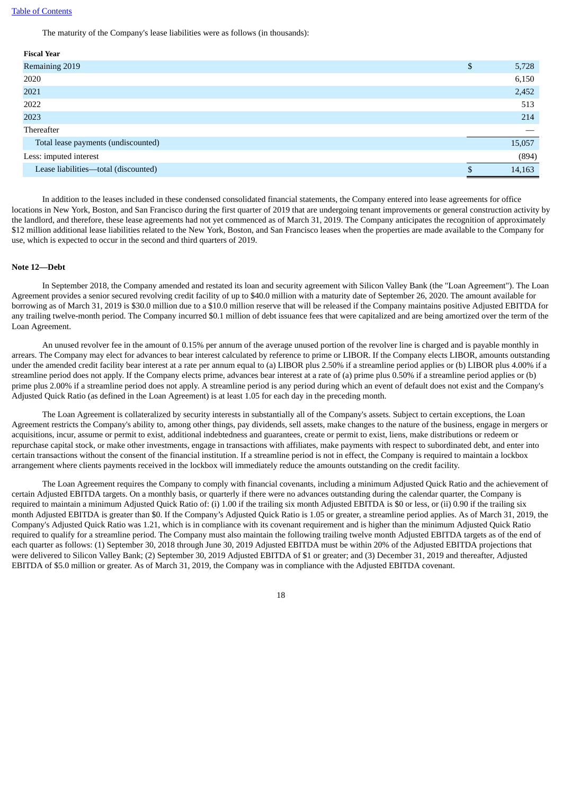#### Table of [Contents](#page-1-0)

The maturity of the Company's lease liabilities were as follows (in thousands):

| <b>Fiscal Year</b>                   |   |        |
|--------------------------------------|---|--------|
| Remaining 2019                       | S | 5,728  |
| 2020                                 |   | 6,150  |
| 2021                                 |   | 2,452  |
| 2022                                 |   | 513    |
| 2023                                 |   | 214    |
| Thereafter                           |   |        |
| Total lease payments (undiscounted)  |   | 15,057 |
| Less: imputed interest               |   | (894)  |
| Lease liabilities-total (discounted) |   | 14,163 |

In addition to the leases included in these condensed consolidated financial statements, the Company entered into lease agreements for office locations in New York, Boston, and San Francisco during the first quarter of 2019 that are undergoing tenant improvements or general construction activity by the landlord, and therefore, these lease agreements had not yet commenced as of March 31, 2019. The Company anticipates the recognition of approximately \$12 million additional lease liabilities related to the New York, Boston, and San Francisco leases when the properties are made available to the Company for use, which is expected to occur in the second and third quarters of 2019.

## **Note 12—Debt**

In September 2018, the Company amended and restated its loan and security agreement with Silicon Valley Bank (the "Loan Agreement"). The Loan Agreement provides a senior secured revolving credit facility of up to \$40.0 million with a maturity date of September 26, 2020. The amount available for borrowing as of March 31, 2019 is \$30.0 million due to a \$10.0 million reserve that will be released if the Company maintains positive Adjusted EBITDA for any trailing twelve-month period. The Company incurred \$0.1 million of debt issuance fees that were capitalized and are being amortized over the term of the Loan Agreement.

An unused revolver fee in the amount of 0.15% per annum of the average unused portion of the revolver line is charged and is payable monthly in arrears. The Company may elect for advances to bear interest calculated by reference to prime or LIBOR. If the Company elects LIBOR, amounts outstanding under the amended credit facility bear interest at a rate per annum equal to (a) LIBOR plus 2.50% if a streamline period applies or (b) LIBOR plus 4.00% if a streamline period does not apply. If the Company elects prime, advances bear interest at a rate of (a) prime plus 0.50% if a streamline period applies or (b) prime plus 2.00% if a streamline period does not apply. A streamline period is any period during which an event of default does not exist and the Company's Adjusted Quick Ratio (as defined in the Loan Agreement) is at least 1.05 for each day in the preceding month.

The Loan Agreement is collateralized by security interests in substantially all of the Company's assets. Subject to certain exceptions, the Loan Agreement restricts the Company's ability to, among other things, pay dividends, sell assets, make changes to the nature of the business, engage in mergers or acquisitions, incur, assume or permit to exist, additional indebtedness and guarantees, create or permit to exist, liens, make distributions or redeem or repurchase capital stock, or make other investments, engage in transactions with affiliates, make payments with respect to subordinated debt, and enter into certain transactions without the consent of the financial institution. If a streamline period is not in effect, the Company is required to maintain a lockbox arrangement where clients payments received in the lockbox will immediately reduce the amounts outstanding on the credit facility.

The Loan Agreement requires the Company to comply with financial covenants, including a minimum Adjusted Quick Ratio and the achievement of certain Adjusted EBITDA targets. On a monthly basis, or quarterly if there were no advances outstanding during the calendar quarter, the Company is required to maintain a minimum Adjusted Quick Ratio of: (i) 1.00 if the trailing six month Adjusted EBITDA is \$0 or less, or (ii) 0.90 if the trailing six month Adjusted EBITDA is greater than \$0. If the Company's Adjusted Quick Ratio is 1.05 or greater, a streamline period applies. As of March 31, 2019, the Company's Adjusted Quick Ratio was 1.21, which is in compliance with its covenant requirement and is higher than the minimum Adjusted Quick Ratio required to qualify for a streamline period. The Company must also maintain the following trailing twelve month Adjusted EBITDA targets as of the end of each quarter as follows: (1) September 30, 2018 through June 30, 2019 Adjusted EBITDA must be within 20% of the Adjusted EBITDA projections that were delivered to Silicon Valley Bank; (2) September 30, 2019 Adjusted EBITDA of \$1 or greater; and (3) December 31, 2019 and thereafter, Adjusted EBITDA of \$5.0 million or greater. As of March 31, 2019, the Company was in compliance with the Adjusted EBITDA covenant.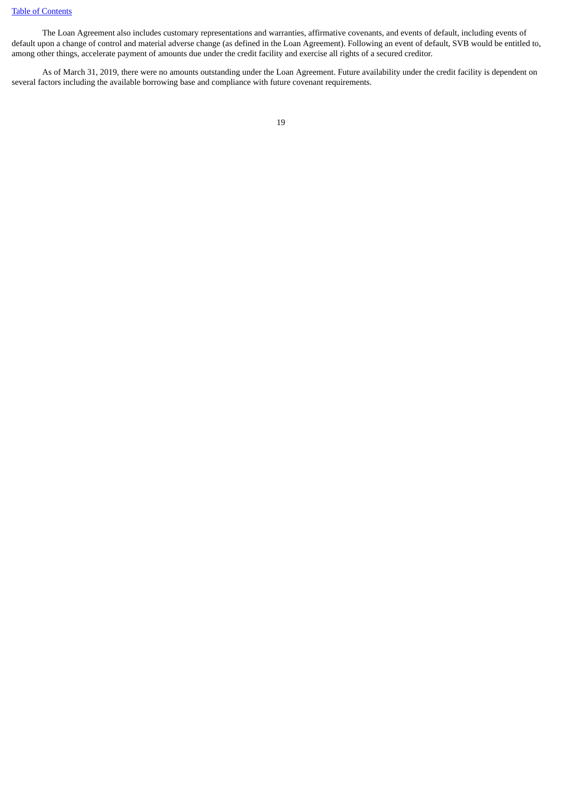The Loan Agreement also includes customary representations and warranties, affirmative covenants, and events of default, including events of default upon a change of control and material adverse change (as defined in the Loan Agreement). Following an event of default, SVB would be entitled to, among other things, accelerate payment of amounts due under the credit facility and exercise all rights of a secured creditor.

As of March 31, 2019, there were no amounts outstanding under the Loan Agreement. Future availability under the credit facility is dependent on several factors including the available borrowing base and compliance with future covenant requirements.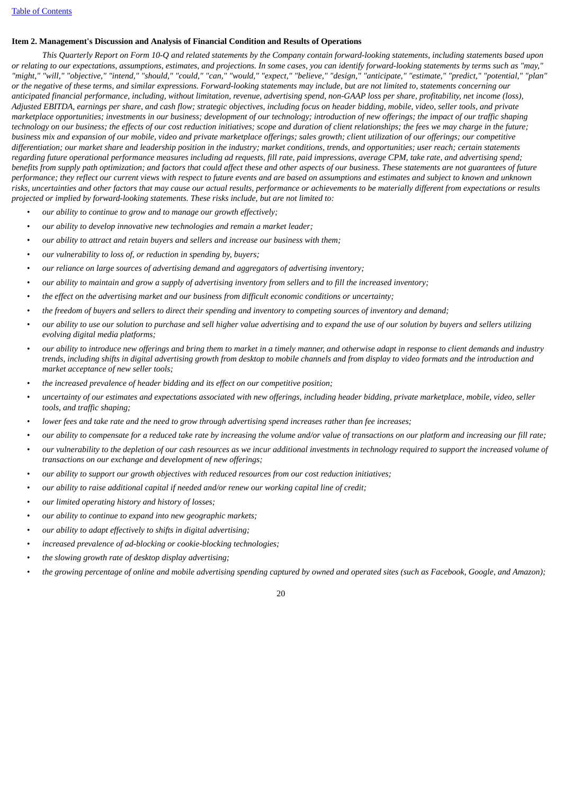# <span id="page-19-0"></span>**Item 2. Management's Discussion and Analysis of Financial Condition and Results of Operations**

This Quarterly Report on Form 10-Q and related statements by the Company contain forward-looking statements, including statements based upon or relating to our expectations, assumptions, estimates, and projections. In some cases, you can identify forward-looking statements by terms such as "may," "might," "will," "objective," "intend," "should," "could," "can," "would," "expect," "believe," "design," "anticipate," "estimate," "predict," "potential," "plan" or the negative of these terms, and similar expressions. Forward-looking statements may include, but are not limited to, statements concerning our anticipated financial performance, including, without limitation, revenue, advertising spend, non-GAAP loss per share, profitability, net income (loss), Adjusted EBITDA, earnings per share, and cash flow; strategic objectives, including focus on header bidding, mobile, video, seller tools, and private marketplace opportunities; investments in our business; development of our technology; introduction of new offerings; the impact of our traffic shaping technology on our business; the effects of our cost reduction initiatives; scope and duration of client relationships; the fees we may charge in the future; business mix and expansion of our mobile, video and private marketplace offerings; sales growth; client utilization of our offerings; our competitive differentiation; our market share and leadership position in the industry; market conditions, trends, and opportunities; user reach; certain statements regarding future operational performance measures including ad requests, fill rate, paid impressions, average CPM, take rate, and advertising spend; benefits from supply path optimization; and factors that could affect these and other aspects of our business. These statements are not guarantees of future performance; they reflect our current views with respect to future events and are based on assumptions and estimates and subject to known and unknown risks, uncertainties and other factors that may cause our actual results, performance or achievements to be materially different from expectations or results *projected or implied by forward-looking statements. These risks include, but are not limited to:*

- *• our ability to continue to grow and to manage our growth effectively;*
- *• our ability to develop innovative new technologies and remain a market leader;*
- *• our ability to attract and retain buyers and sellers and increase our business with them;*
- *• our vulnerability to loss of, or reduction in spending by, buyers;*
- *• our reliance on large sources of advertising demand and aggregators of advertising inventory;*
- our ability to maintain and grow a supply of advertising inventory from sellers and to fill the increased inventory;
- *• the effect on the advertising market and our business from difficult economic conditions or uncertainty;*
- the freedom of buyers and sellers to direct their spending and inventory to competing sources of inventory and demand;
- our ability to use our solution to purchase and sell higher value advertising and to expand the use of our solution by buyers and sellers utilizing *evolving digital media platforms;*
- our ability to introduce new offerings and bring them to market in a timely manner, and otherwise adapt in response to client demands and industry trends, including shifts in digital advertising growth from desktop to mobile channels and from display to video formats and the introduction and *market acceptance of new seller tools;*
- *• the increased prevalence of header bidding and its effect on our competitive position;*
- uncertainty of our estimates and expectations associated with new offerings, including header bidding, private marketplace, mobile, video, seller *tools, and traffic shaping;*
- lower fees and take rate and the need to arow through advertising spend increases rather than fee increases:
- our ability to compensate for a reduced take rate by increasing the volume and/or value of transactions on our platform and increasing our fill rate;
- our vulnerability to the depletion of our cash resources as we incur additional investments in technology required to support the increased volume of *transactions on our exchange and development of new offerings;*
- *• our ability to support our growth objectives with reduced resources from our cost reduction initiatives;*
- *• our ability to raise additional capital if needed and/or renew our working capital line of credit;*
- *• our limited operating history and history of losses;*
- *• our ability to continue to expand into new geographic markets;*
- *• our ability to adapt effectively to shifts in digital advertising;*
- *• increased prevalence of ad-blocking or cookie-blocking technologies;*
- *• the slowing growth rate of desktop display advertising;*
- the growing percentage of online and mobile advertising spending captured by owned and operated sites (such as Facebook, Google, and Amazon);

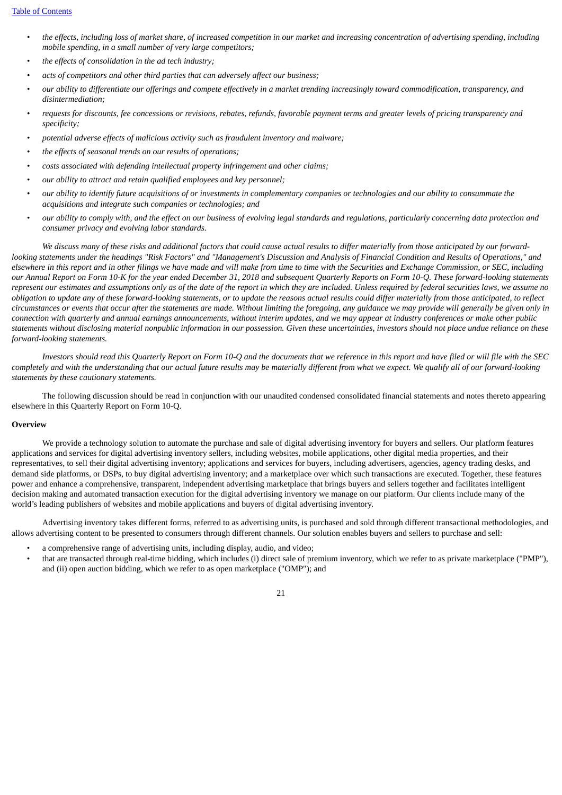- the effects, including loss of market share, of increased competition in our market and increasing concentration of advertising spending, including *mobile spending, in a small number of very large competitors;*
- *• the effects of consolidation in the ad tech industry;*
- *• acts of competitors and other third parties that can adversely affect our business;*
- our ability to differentiate our offerings and compete effectively in a market trending increasingly toward commodification, transparency, and *disintermediation;*
- requests for discounts, fee concessions or revisions, rebates, refunds, favorable payment terms and greater levels of pricing transparency and *specificity;*
- *• potential adverse effects of malicious activity such as fraudulent inventory and malware;*
- *• the effects of seasonal trends on our results of operations;*
- *• costs associated with defending intellectual property infringement and other claims;*
- *• our ability to attract and retain qualified employees and key personnel;*
- our ability to identify future acquisitions of or investments in complementary companies or technologies and our ability to consummate the *acquisitions and integrate such companies or technologies; and*
- our ability to comply with, and the effect on our business of evolving legal standards and regulations, particularly concerning data protection and *consumer privacy and evolving labor standards.*

We discuss many of these risks and additional factors that could cause actual results to differ materially from those anticipated by our forwardlooking statements under the headings "Risk Factors" and "Management's Discussion and Analysis of Financial Condition and Results of Operations," and elsewhere in this report and in other filings we have made and will make from time to time with the Securities and Exchange Commission, or SEC, including our Annual Report on Form 10-K for the year ended December 31, 2018 and subsequent Quarterly Reports on Form 10-Q. These forward-looking statements represent our estimates and assumptions only as of the date of the report in which they are included. Unless required by federal securities laws, we assume no obligation to update any of these forward-looking statements, or to update the reasons actual results could differ materially from those anticipated, to reflect circumstances or events that occur after the statements are made. Without limiting the foregoing, any quidance we may provide will generally be given only in connection with quarterly and annual earnings announcements, without interim updates, and we may appear at industry conferences or make other public statements without disclosing material nonpublic information in our possession. Given these uncertainties, investors should not place undue reliance on these *forward-looking statements.*

Investors should read this Quarterly Report on Form 10-Q and the documents that we reference in this report and have filed or will file with the SEC completely and with the understanding that our actual future results may be materially different from what we expect. We qualify all of our forward-looking *statements by these cautionary statements.*

The following discussion should be read in conjunction with our unaudited condensed consolidated financial statements and notes thereto appearing elsewhere in this Quarterly Report on Form 10-Q.

#### **Overview**

We provide a technology solution to automate the purchase and sale of digital advertising inventory for buyers and sellers. Our platform features applications and services for digital advertising inventory sellers, including websites, mobile applications, other digital media properties, and their representatives, to sell their digital advertising inventory; applications and services for buyers, including advertisers, agencies, agency trading desks, and demand side platforms, or DSPs, to buy digital advertising inventory; and a marketplace over which such transactions are executed. Together, these features power and enhance a comprehensive, transparent, independent advertising marketplace that brings buyers and sellers together and facilitates intelligent decision making and automated transaction execution for the digital advertising inventory we manage on our platform. Our clients include many of the world's leading publishers of websites and mobile applications and buyers of digital advertising inventory.

Advertising inventory takes different forms, referred to as advertising units, is purchased and sold through different transactional methodologies, and allows advertising content to be presented to consumers through different channels. Our solution enables buyers and sellers to purchase and sell:

- a comprehensive range of advertising units, including display, audio, and video;
- that are transacted through real-time bidding, which includes (i) direct sale of premium inventory, which we refer to as private marketplace ("PMP"), and (ii) open auction bidding, which we refer to as open marketplace ("OMP"); and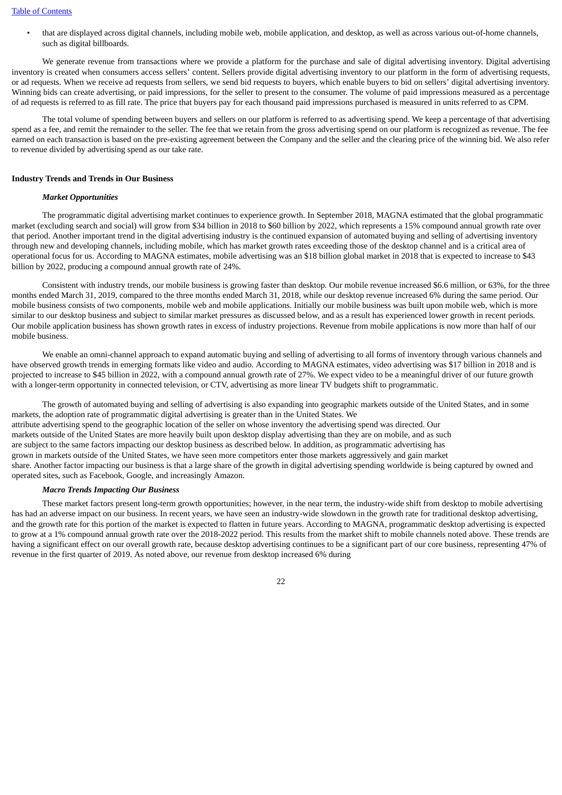• that are displayed across digital channels, including mobile web, mobile application, and desktop, as well as across various out-of-home channels, such as digital billboards.

We generate revenue from transactions where we provide a platform for the purchase and sale of digital advertising inventory. Digital advertising inventory is created when consumers access sellers' content. Sellers provide digital advertising inventory to our platform in the form of advertising requests, or ad requests. When we receive ad requests from sellers, we send bid requests to buyers, which enable buyers to bid on sellers' digital advertising inventory. Winning bids can create advertising, or paid impressions, for the seller to present to the consumer. The volume of paid impressions measured as a percentage of ad requests is referred to as fill rate. The price that buyers pay for each thousand paid impressions purchased is measured in units referred to as CPM.

The total volume of spending between buyers and sellers on our platform is referred to as advertising spend. We keep a percentage of that advertising spend as a fee, and remit the remainder to the seller. The fee that we retain from the gross advertising spend on our platform is recognized as revenue. The fee earned on each transaction is based on the pre-existing agreement between the Company and the seller and the clearing price of the winning bid. We also refer to revenue divided by advertising spend as our take rate.

#### **Industry Trends and Trends in Our Business**

#### *Market Opportunities*

The programmatic digital advertising market continues to experience growth. In September 2018, MAGNA estimated that the global programmatic market (excluding search and social) will grow from \$34 billion in 2018 to \$60 billion by 2022, which represents a 15% compound annual growth rate over that period. Another important trend in the digital advertising industry is the continued expansion of automated buying and selling of advertising inventory through new and developing channels, including mobile, which has market growth rates exceeding those of the desktop channel and is a critical area of operational focus for us. According to MAGNA estimates, mobile advertising was an \$18 billion global market in 2018 that is expected to increase to \$43 billion by 2022, producing a compound annual growth rate of 24%.

Consistent with industry trends, our mobile business is growing faster than desktop. Our mobile revenue increased \$6.6 million, or 63%, for the three months ended March 31, 2019, compared to the three months ended March 31, 2018, while our desktop revenue increased 6% during the same period. Our mobile business consists of two components, mobile web and mobile applications. Initially our mobile business was built upon mobile web, which is more similar to our desktop business and subject to similar market pressures as discussed below, and as a result has experienced lower growth in recent periods. Our mobile application business has shown growth rates in excess of industry projections. Revenue from mobile applications is now more than half of our mobile business.

We enable an omni-channel approach to expand automatic buying and selling of advertising to all forms of inventory through various channels and have observed growth trends in emerging formats like video and audio. According to MAGNA estimates, video advertising was \$17 billion in 2018 and is projected to increase to \$45 billion in 2022, with a compound annual growth rate of 27%. We expect video to be a meaningful driver of our future growth with a longer-term opportunity in connected television, or CTV, advertising as more linear TV budgets shift to programmatic.

The growth of automated buying and selling of advertising is also expanding into geographic markets outside of the United States, and in some markets, the adoption rate of programmatic digital advertising is greater than in the United States. We attribute advertising spend to the geographic location of the seller on whose inventory the advertising spend was directed. Our markets outside of the United States are more heavily built upon desktop display advertising than they are on mobile, and as such are subject to the same factors impacting our desktop business as described below. In addition, as programmatic advertising has grown in markets outside of the United States, we have seen more competitors enter those markets aggressively and gain market share. Another factor impacting our business is that a large share of the growth in digital advertising spending worldwide is being captured by owned and operated sites, such as Facebook, Google, and increasingly Amazon.

## *Macro Trends Impacting Our Business*

These market factors present long-term growth opportunities; however, in the near term, the industry-wide shift from desktop to mobile advertising has had an adverse impact on our business. In recent years, we have seen an industry-wide slowdown in the growth rate for traditional desktop advertising, and the growth rate for this portion of the market is expected to flatten in future years. According to MAGNA, programmatic desktop advertising is expected to grow at a 1% compound annual growth rate over the 2018-2022 period. This results from the market shift to mobile channels noted above. These trends are having a significant effect on our overall growth rate, because desktop advertising continues to be a significant part of our core business, representing 47% of revenue in the first quarter of 2019. As noted above, our revenue from desktop increased 6% during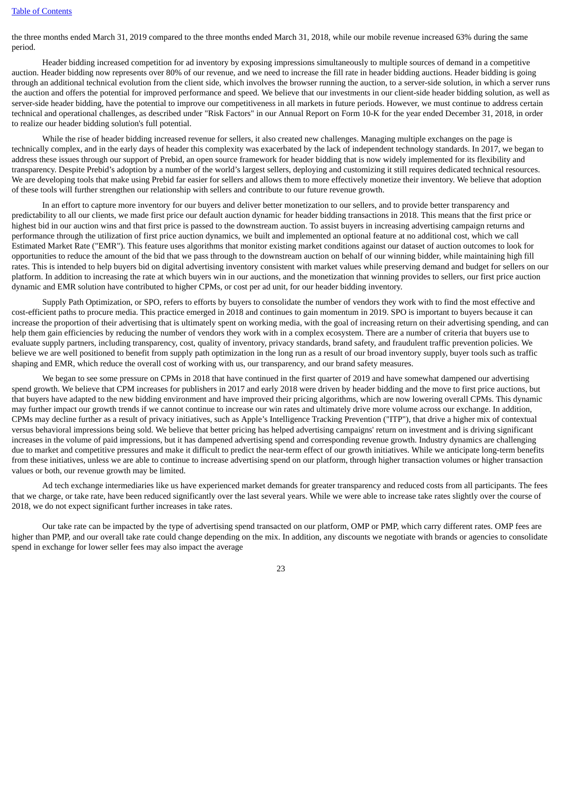the three months ended March 31, 2019 compared to the three months ended March 31, 2018, while our mobile revenue increased 63% during the same period.

Header bidding increased competition for ad inventory by exposing impressions simultaneously to multiple sources of demand in a competitive auction. Header bidding now represents over 80% of our revenue, and we need to increase the fill rate in header bidding auctions. Header bidding is going through an additional technical evolution from the client side, which involves the browser running the auction, to a server-side solution, in which a server runs the auction and offers the potential for improved performance and speed. We believe that our investments in our client-side header bidding solution, as well as server-side header bidding, have the potential to improve our competitiveness in all markets in future periods. However, we must continue to address certain technical and operational challenges, as described under "Risk Factors" in our Annual Report on Form 10-K for the year ended December 31, 2018, in order to realize our header bidding solution's full potential.

While the rise of header bidding increased revenue for sellers, it also created new challenges. Managing multiple exchanges on the page is technically complex, and in the early days of header this complexity was exacerbated by the lack of independent technology standards. In 2017, we began to address these issues through our support of Prebid, an open source framework for header bidding that is now widely implemented for its flexibility and transparency. Despite Prebid's adoption by a number of the world's largest sellers, deploying and customizing it still requires dedicated technical resources. We are developing tools that make using Prebid far easier for sellers and allows them to more effectively monetize their inventory. We believe that adoption of these tools will further strengthen our relationship with sellers and contribute to our future revenue growth.

In an effort to capture more inventory for our buyers and deliver better monetization to our sellers, and to provide better transparency and predictability to all our clients, we made first price our default auction dynamic for header bidding transactions in 2018. This means that the first price or highest bid in our auction wins and that first price is passed to the downstream auction. To assist buyers in increasing advertising campaign returns and performance through the utilization of first price auction dynamics, we built and implemented an optional feature at no additional cost, which we call Estimated Market Rate ("EMR"). This feature uses algorithms that monitor existing market conditions against our dataset of auction outcomes to look for opportunities to reduce the amount of the bid that we pass through to the downstream auction on behalf of our winning bidder, while maintaining high fill rates. This is intended to help buyers bid on digital advertising inventory consistent with market values while preserving demand and budget for sellers on our platform. In addition to increasing the rate at which buyers win in our auctions, and the monetization that winning provides to sellers, our first price auction dynamic and EMR solution have contributed to higher CPMs, or cost per ad unit, for our header bidding inventory.

Supply Path Optimization, or SPO, refers to efforts by buyers to consolidate the number of vendors they work with to find the most effective and cost-efficient paths to procure media. This practice emerged in 2018 and continues to gain momentum in 2019. SPO is important to buyers because it can increase the proportion of their advertising that is ultimately spent on working media, with the goal of increasing return on their advertising spending, and can help them gain efficiencies by reducing the number of vendors they work with in a complex ecosystem. There are a number of criteria that buyers use to evaluate supply partners, including transparency, cost, quality of inventory, privacy standards, brand safety, and fraudulent traffic prevention policies. We believe we are well positioned to benefit from supply path optimization in the long run as a result of our broad inventory supply, buyer tools such as traffic shaping and EMR, which reduce the overall cost of working with us, our transparency, and our brand safety measures.

We began to see some pressure on CPMs in 2018 that have continued in the first quarter of 2019 and have somewhat dampened our advertising spend growth. We believe that CPM increases for publishers in 2017 and early 2018 were driven by header bidding and the move to first price auctions, but that buyers have adapted to the new bidding environment and have improved their pricing algorithms, which are now lowering overall CPMs. This dynamic may further impact our growth trends if we cannot continue to increase our win rates and ultimately drive more volume across our exchange. In addition, CPMs may decline further as a result of privacy initiatives, such as Apple's Intelligence Tracking Prevention ("ITP"), that drive a higher mix of contextual versus behavioral impressions being sold. We believe that better pricing has helped advertising campaigns' return on investment and is driving significant increases in the volume of paid impressions, but it has dampened advertising spend and corresponding revenue growth. Industry dynamics are challenging due to market and competitive pressures and make it difficult to predict the near-term effect of our growth initiatives. While we anticipate long-term benefits from these initiatives, unless we are able to continue to increase advertising spend on our platform, through higher transaction volumes or higher transaction values or both, our revenue growth may be limited.

Ad tech exchange intermediaries like us have experienced market demands for greater transparency and reduced costs from all participants. The fees that we charge, or take rate, have been reduced significantly over the last several years. While we were able to increase take rates slightly over the course of 2018, we do not expect significant further increases in take rates.

Our take rate can be impacted by the type of advertising spend transacted on our platform, OMP or PMP, which carry different rates. OMP fees are higher than PMP, and our overall take rate could change depending on the mix. In addition, any discounts we negotiate with brands or agencies to consolidate spend in exchange for lower seller fees may also impact the average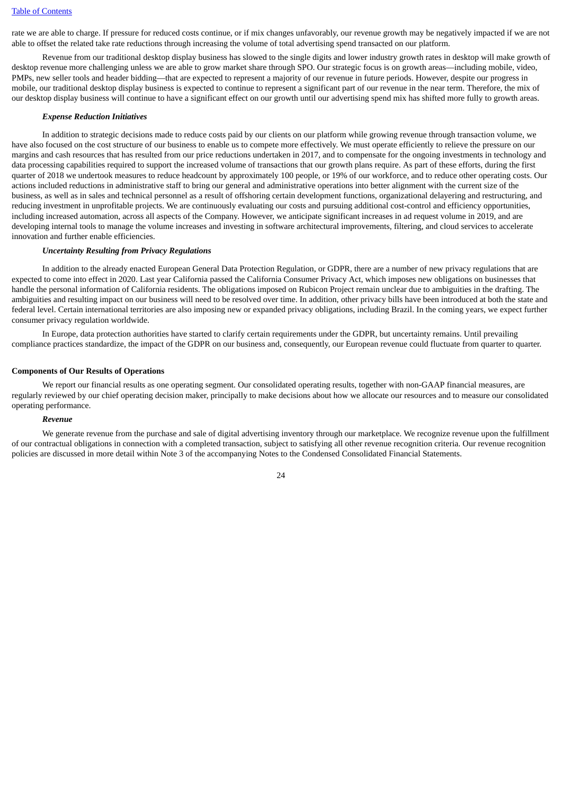rate we are able to charge. If pressure for reduced costs continue, or if mix changes unfavorably, our revenue growth may be negatively impacted if we are not able to offset the related take rate reductions through increasing the volume of total advertising spend transacted on our platform.

Revenue from our traditional desktop display business has slowed to the single digits and lower industry growth rates in desktop will make growth of desktop revenue more challenging unless we are able to grow market share through SPO. Our strategic focus is on growth areas—including mobile, video, PMPs, new seller tools and header bidding—that are expected to represent a majority of our revenue in future periods. However, despite our progress in mobile, our traditional desktop display business is expected to continue to represent a significant part of our revenue in the near term. Therefore, the mix of our desktop display business will continue to have a significant effect on our growth until our advertising spend mix has shifted more fully to growth areas.

#### *Expense Reduction Initiatives*

In addition to strategic decisions made to reduce costs paid by our clients on our platform while growing revenue through transaction volume, we have also focused on the cost structure of our business to enable us to compete more effectively. We must operate efficiently to relieve the pressure on our margins and cash resources that has resulted from our price reductions undertaken in 2017, and to compensate for the ongoing investments in technology and data processing capabilities required to support the increased volume of transactions that our growth plans require. As part of these efforts, during the first quarter of 2018 we undertook measures to reduce headcount by approximately 100 people, or 19% of our workforce, and to reduce other operating costs. Our actions included reductions in administrative staff to bring our general and administrative operations into better alignment with the current size of the business, as well as in sales and technical personnel as a result of offshoring certain development functions, organizational delayering and restructuring, and reducing investment in unprofitable projects. We are continuously evaluating our costs and pursuing additional cost-control and efficiency opportunities, including increased automation, across all aspects of the Company. However, we anticipate significant increases in ad request volume in 2019, and are developing internal tools to manage the volume increases and investing in software architectural improvements, filtering, and cloud services to accelerate innovation and further enable efficiencies.

## *Uncertainty Resulting from Privacy Regulations*

In addition to the already enacted European General Data Protection Regulation, or GDPR, there are a number of new privacy regulations that are expected to come into effect in 2020. Last year California passed the California Consumer Privacy Act, which imposes new obligations on businesses that handle the personal information of California residents. The obligations imposed on Rubicon Project remain unclear due to ambiguities in the drafting. The ambiguities and resulting impact on our business will need to be resolved over time. In addition, other privacy bills have been introduced at both the state and federal level. Certain international territories are also imposing new or expanded privacy obligations, including Brazil. In the coming years, we expect further consumer privacy regulation worldwide.

In Europe, data protection authorities have started to clarify certain requirements under the GDPR, but uncertainty remains. Until prevailing compliance practices standardize, the impact of the GDPR on our business and, consequently, our European revenue could fluctuate from quarter to quarter.

#### **Components of Our Results of Operations**

We report our financial results as one operating segment. Our consolidated operating results, together with non-GAAP financial measures, are regularly reviewed by our chief operating decision maker, principally to make decisions about how we allocate our resources and to measure our consolidated operating performance.

#### *Revenue*

We generate revenue from the purchase and sale of digital advertising inventory through our marketplace. We recognize revenue upon the fulfillment of our contractual obligations in connection with a completed transaction, subject to satisfying all other revenue recognition criteria. Our revenue recognition policies are discussed in more detail within Note 3 of the accompanying Notes to the Condensed Consolidated Financial Statements.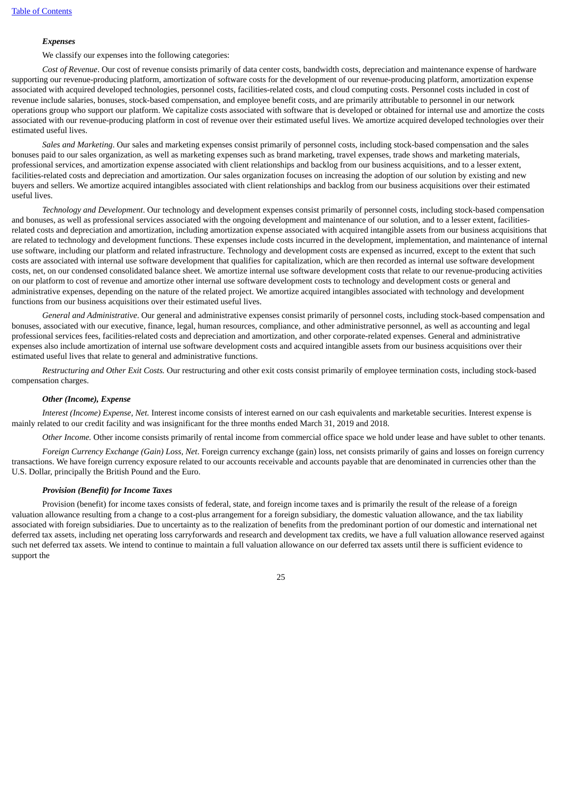## *Expenses*

We classify our expenses into the following categories:

*Cost of Revenue*. Our cost of revenue consists primarily of data center costs, bandwidth costs, depreciation and maintenance expense of hardware supporting our revenue-producing platform, amortization of software costs for the development of our revenue-producing platform, amortization expense associated with acquired developed technologies, personnel costs, facilities-related costs, and cloud computing costs. Personnel costs included in cost of revenue include salaries, bonuses, stock-based compensation, and employee benefit costs, and are primarily attributable to personnel in our network operations group who support our platform. We capitalize costs associated with software that is developed or obtained for internal use and amortize the costs associated with our revenue-producing platform in cost of revenue over their estimated useful lives. We amortize acquired developed technologies over their estimated useful lives.

*Sales and Marketing*. Our sales and marketing expenses consist primarily of personnel costs, including stock-based compensation and the sales bonuses paid to our sales organization, as well as marketing expenses such as brand marketing, travel expenses, trade shows and marketing materials, professional services, and amortization expense associated with client relationships and backlog from our business acquisitions, and to a lesser extent, facilities-related costs and depreciation and amortization. Our sales organization focuses on increasing the adoption of our solution by existing and new buyers and sellers. We amortize acquired intangibles associated with client relationships and backlog from our business acquisitions over their estimated useful lives.

*Technology and Development*. Our technology and development expenses consist primarily of personnel costs, including stock-based compensation and bonuses, as well as professional services associated with the ongoing development and maintenance of our solution, and to a lesser extent, facilitiesrelated costs and depreciation and amortization, including amortization expense associated with acquired intangible assets from our business acquisitions that are related to technology and development functions. These expenses include costs incurred in the development, implementation, and maintenance of internal use software, including our platform and related infrastructure. Technology and development costs are expensed as incurred, except to the extent that such costs are associated with internal use software development that qualifies for capitalization, which are then recorded as internal use software development costs, net, on our condensed consolidated balance sheet. We amortize internal use software development costs that relate to our revenue-producing activities on our platform to cost of revenue and amortize other internal use software development costs to technology and development costs or general and administrative expenses, depending on the nature of the related project. We amortize acquired intangibles associated with technology and development functions from our business acquisitions over their estimated useful lives.

*General and Administrative*. Our general and administrative expenses consist primarily of personnel costs, including stock-based compensation and bonuses, associated with our executive, finance, legal, human resources, compliance, and other administrative personnel, as well as accounting and legal professional services fees, facilities-related costs and depreciation and amortization, and other corporate-related expenses. General and administrative expenses also include amortization of internal use software development costs and acquired intangible assets from our business acquisitions over their estimated useful lives that relate to general and administrative functions.

*Restructuring and Other Exit Costs.* Our restructuring and other exit costs consist primarily of employee termination costs, including stock-based compensation charges.

#### *Other (Income), Expense*

*Interest (Income) Expense, Net.* Interest income consists of interest earned on our cash equivalents and marketable securities. Interest expense is mainly related to our credit facility and was insignificant for the three months ended March 31, 2019 and 2018.

*Other Income.* Other income consists primarily of rental income from commercial office space we hold under lease and have sublet to other tenants.

*Foreign Currency Exchange (Gain) Loss, Net*. Foreign currency exchange (gain) loss, net consists primarily of gains and losses on foreign currency transactions. We have foreign currency exposure related to our accounts receivable and accounts payable that are denominated in currencies other than the U.S. Dollar, principally the British Pound and the Euro.

## *Provision (Benefit) for Income Taxes*

Provision (benefit) for income taxes consists of federal, state, and foreign income taxes and is primarily the result of the release of a foreign valuation allowance resulting from a change to a cost-plus arrangement for a foreign subsidiary, the domestic valuation allowance, and the tax liability associated with foreign subsidiaries. Due to uncertainty as to the realization of benefits from the predominant portion of our domestic and international net deferred tax assets, including net operating loss carryforwards and research and development tax credits, we have a full valuation allowance reserved against such net deferred tax assets. We intend to continue to maintain a full valuation allowance on our deferred tax assets until there is sufficient evidence to support the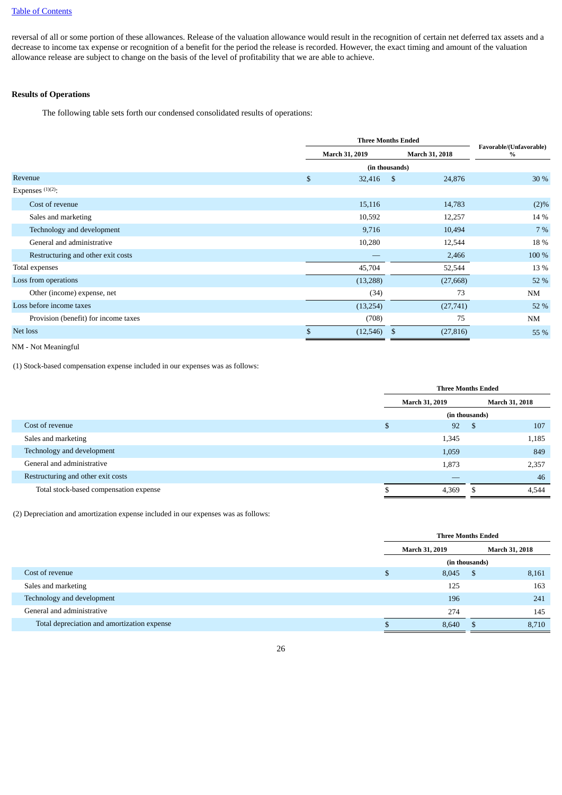# Table of [Contents](#page-1-0)

reversal of all or some portion of these allowances. Release of the valuation allowance would result in the recognition of certain net deferred tax assets and a decrease to income tax expense or recognition of a benefit for the period the release is recorded. However, the exact timing and amount of the valuation allowance release are subject to change on the basis of the level of profitability that we are able to achieve.

# **Results of Operations**

The following table sets forth our condensed consolidated results of operations:

|                                      | <b>Three Months Ended</b> |                                  |      |           |                              |  |
|--------------------------------------|---------------------------|----------------------------------|------|-----------|------------------------------|--|
|                                      |                           | March 31, 2018<br>March 31, 2019 |      |           | Favorable/(Unfavorable)<br>% |  |
|                                      |                           | (in thousands)                   |      |           |                              |  |
| Revenue                              | \$                        | 32,416                           | - \$ | 24,876    | 30 %                         |  |
| Expenses $(1)(2)$ :                  |                           |                                  |      |           |                              |  |
| Cost of revenue                      |                           | 15,116                           |      | 14,783    | (2)%                         |  |
| Sales and marketing                  |                           | 10,592                           |      | 12,257    | 14 %                         |  |
| Technology and development           |                           | 9,716                            |      | 10,494    | 7 %                          |  |
| General and administrative           |                           | 10,280                           |      | 12,544    | 18 %                         |  |
| Restructuring and other exit costs   |                           |                                  |      | 2,466     | 100 %                        |  |
| Total expenses                       |                           | 45,704                           |      | 52,544    | 13 %                         |  |
| Loss from operations                 |                           | (13, 288)                        |      | (27, 668) | 52 %                         |  |
| Other (income) expense, net          |                           | (34)                             |      | 73        | NM                           |  |
| Loss before income taxes             |                           | (13, 254)                        |      | (27,741)  | 52 %                         |  |
| Provision (benefit) for income taxes |                           | (708)                            |      | 75        | NM                           |  |
| Net loss                             |                           | $(12,546)$ \$                    |      | (27, 816) | 55 %                         |  |

NM - Not Meaningful

(1) Stock-based compensation expense included in our expenses was as follows:

|                                        | <b>Three Months Ended</b> |                                                |      |       |
|----------------------------------------|---------------------------|------------------------------------------------|------|-------|
|                                        |                           | <b>March 31, 2018</b><br><b>March 31, 2019</b> |      |       |
|                                        |                           | (in thousands)                                 |      |       |
| Cost of revenue                        |                           | 92                                             | - \$ | 107   |
| Sales and marketing                    |                           | 1,345                                          |      | 1,185 |
| Technology and development             |                           | 1,059                                          |      | 849   |
| General and administrative             |                           | 1,873                                          |      | 2,357 |
| Restructuring and other exit costs     |                           |                                                |      | 46    |
| Total stock-based compensation expense |                           | 4,369                                          |      | 4,544 |

(2) Depreciation and amortization expense included in our expenses was as follows:

|                                             | <b>Three Months Ended</b> |                                                |                |       |
|---------------------------------------------|---------------------------|------------------------------------------------|----------------|-------|
|                                             |                           | <b>March 31, 2018</b><br><b>March 31, 2019</b> |                |       |
|                                             |                           |                                                | (in thousands) |       |
| Cost of revenue                             |                           | 8,045                                          | S              | 8,161 |
| Sales and marketing                         |                           | 125                                            |                | 163   |
| Technology and development                  |                           | 196                                            |                | 241   |
| General and administrative                  |                           | 274                                            |                | 145   |
| Total depreciation and amortization expense |                           | 8,640                                          |                | 8,710 |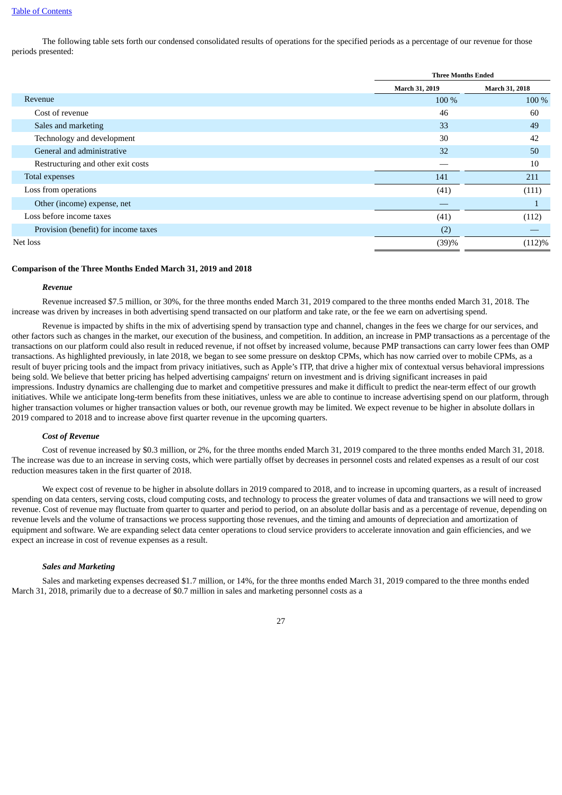The following table sets forth our condensed consolidated results of operations for the specified periods as a percentage of our revenue for those periods presented:

|                                      | <b>Three Months Ended</b> |                |  |
|--------------------------------------|---------------------------|----------------|--|
|                                      | March 31, 2019            | March 31, 2018 |  |
| Revenue                              | 100 %                     | 100 %          |  |
| Cost of revenue                      | 46                        | 60             |  |
| Sales and marketing                  | 33                        | 49             |  |
| Technology and development           | 30                        | 42             |  |
| General and administrative           | 32                        | 50             |  |
| Restructuring and other exit costs   |                           | 10             |  |
| Total expenses                       | 141                       | 211            |  |
| Loss from operations                 | (41)                      | (111)          |  |
| Other (income) expense, net          |                           |                |  |
| Loss before income taxes             | (41)                      | (112)          |  |
| Provision (benefit) for income taxes | (2)                       |                |  |
| Net loss                             | (39)%                     | (112)%         |  |

#### **Comparison of the Three Months Ended March 31, 2019 and 2018**

#### *Revenue*

Revenue increased \$7.5 million, or 30%, for the three months ended March 31, 2019 compared to the three months ended March 31, 2018. The increase was driven by increases in both advertising spend transacted on our platform and take rate, or the fee we earn on advertising spend.

Revenue is impacted by shifts in the mix of advertising spend by transaction type and channel, changes in the fees we charge for our services, and other factors such as changes in the market, our execution of the business, and competition. In addition, an increase in PMP transactions as a percentage of the transactions on our platform could also result in reduced revenue, if not offset by increased volume, because PMP transactions can carry lower fees than OMP transactions. As highlighted previously, in late 2018, we began to see some pressure on desktop CPMs, which has now carried over to mobile CPMs, as a result of buyer pricing tools and the impact from privacy initiatives, such as Apple's ITP, that drive a higher mix of contextual versus behavioral impressions being sold. We believe that better pricing has helped advertising campaigns' return on investment and is driving significant increases in paid impressions. Industry dynamics are challenging due to market and competitive pressures and make it difficult to predict the near-term effect of our growth initiatives. While we anticipate long-term benefits from these initiatives, unless we are able to continue to increase advertising spend on our platform, through higher transaction volumes or higher transaction values or both, our revenue growth may be limited. We expect revenue to be higher in absolute dollars in 2019 compared to 2018 and to increase above first quarter revenue in the upcoming quarters.

#### *Cost of Revenue*

Cost of revenue increased by \$0.3 million, or 2%, for the three months ended March 31, 2019 compared to the three months ended March 31, 2018. The increase was due to an increase in serving costs, which were partially offset by decreases in personnel costs and related expenses as a result of our cost reduction measures taken in the first quarter of 2018.

We expect cost of revenue to be higher in absolute dollars in 2019 compared to 2018, and to increase in upcoming quarters, as a result of increased spending on data centers, serving costs, cloud computing costs, and technology to process the greater volumes of data and transactions we will need to grow revenue. Cost of revenue may fluctuate from quarter to quarter and period to period, on an absolute dollar basis and as a percentage of revenue, depending on revenue levels and the volume of transactions we process supporting those revenues, and the timing and amounts of depreciation and amortization of equipment and software. We are expanding select data center operations to cloud service providers to accelerate innovation and gain efficiencies, and we expect an increase in cost of revenue expenses as a result.

## *Sales and Marketing*

Sales and marketing expenses decreased \$1.7 million, or 14%, for the three months ended March 31, 2019 compared to the three months ended March 31, 2018, primarily due to a decrease of \$0.7 million in sales and marketing personnel costs as a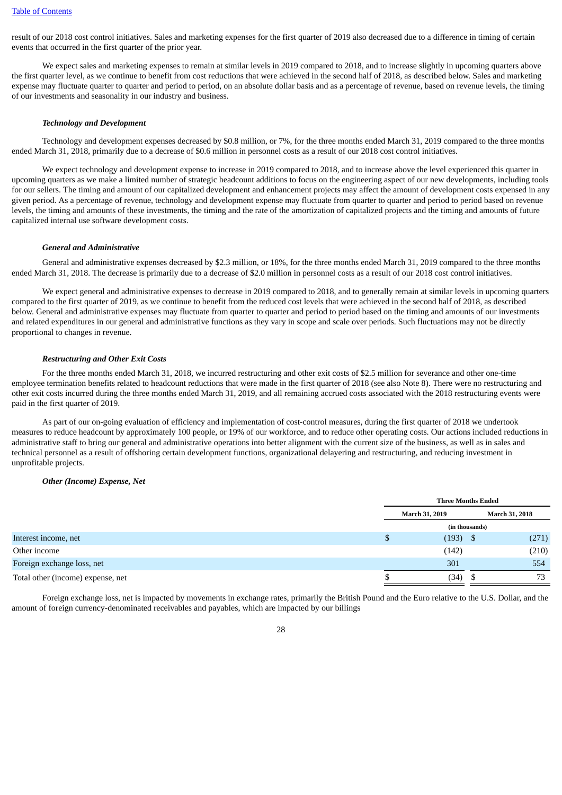result of our 2018 cost control initiatives. Sales and marketing expenses for the first quarter of 2019 also decreased due to a difference in timing of certain events that occurred in the first quarter of the prior year.

We expect sales and marketing expenses to remain at similar levels in 2019 compared to 2018, and to increase slightly in upcoming quarters above the first quarter level, as we continue to benefit from cost reductions that were achieved in the second half of 2018, as described below. Sales and marketing expense may fluctuate quarter to quarter and period to period, on an absolute dollar basis and as a percentage of revenue, based on revenue levels, the timing of our investments and seasonality in our industry and business.

#### *Technology and Development*

Technology and development expenses decreased by \$0.8 million, or 7%, for the three months ended March 31, 2019 compared to the three months ended March 31, 2018, primarily due to a decrease of \$0.6 million in personnel costs as a result of our 2018 cost control initiatives.

We expect technology and development expense to increase in 2019 compared to 2018, and to increase above the level experienced this quarter in upcoming quarters as we make a limited number of strategic headcount additions to focus on the engineering aspect of our new developments, including tools for our sellers. The timing and amount of our capitalized development and enhancement projects may affect the amount of development costs expensed in any given period. As a percentage of revenue, technology and development expense may fluctuate from quarter to quarter and period to period based on revenue levels, the timing and amounts of these investments, the timing and the rate of the amortization of capitalized projects and the timing and amounts of future capitalized internal use software development costs.

#### *General and Administrative*

General and administrative expenses decreased by \$2.3 million, or 18%, for the three months ended March 31, 2019 compared to the three months ended March 31, 2018. The decrease is primarily due to a decrease of \$2.0 million in personnel costs as a result of our 2018 cost control initiatives.

We expect general and administrative expenses to decrease in 2019 compared to 2018, and to generally remain at similar levels in upcoming quarters compared to the first quarter of 2019, as we continue to benefit from the reduced cost levels that were achieved in the second half of 2018, as described below. General and administrative expenses may fluctuate from quarter to quarter and period to period based on the timing and amounts of our investments and related expenditures in our general and administrative functions as they vary in scope and scale over periods. Such fluctuations may not be directly proportional to changes in revenue.

#### *Restructuring and Other Exit Costs*

For the three months ended March 31, 2018, we incurred restructuring and other exit costs of \$2.5 million for severance and other one-time employee termination benefits related to headcount reductions that were made in the first quarter of 2018 (see also Note 8). There were no restructuring and other exit costs incurred during the three months ended March 31, 2019, and all remaining accrued costs associated with the 2018 restructuring events were paid in the first quarter of 2019.

As part of our on-going evaluation of efficiency and implementation of cost-control measures, during the first quarter of 2018 we undertook measures to reduce headcount by approximately 100 people, or 19% of our workforce, and to reduce other operating costs. Our actions included reductions in administrative staff to bring our general and administrative operations into better alignment with the current size of the business, as well as in sales and technical personnel as a result of offshoring certain development functions, organizational delayering and restructuring, and reducing investment in unprofitable projects.

## *Other (Income) Expense, Net*

|                                   | <b>Three Months Ended</b> |                |  |                       |
|-----------------------------------|---------------------------|----------------|--|-----------------------|
|                                   | <b>March 31, 2019</b>     |                |  | <b>March 31, 2018</b> |
|                                   |                           | (in thousands) |  |                       |
| Interest income, net              | \$                        | $(193)$ \$     |  | (271)                 |
| Other income                      |                           | (142)          |  | (210)                 |
| Foreign exchange loss, net        |                           | 301            |  | 554                   |
| Total other (income) expense, net |                           | (34)           |  | 73                    |

Foreign exchange loss, net is impacted by movements in exchange rates, primarily the British Pound and the Euro relative to the U.S. Dollar, and the amount of foreign currency-denominated receivables and payables, which are impacted by our billings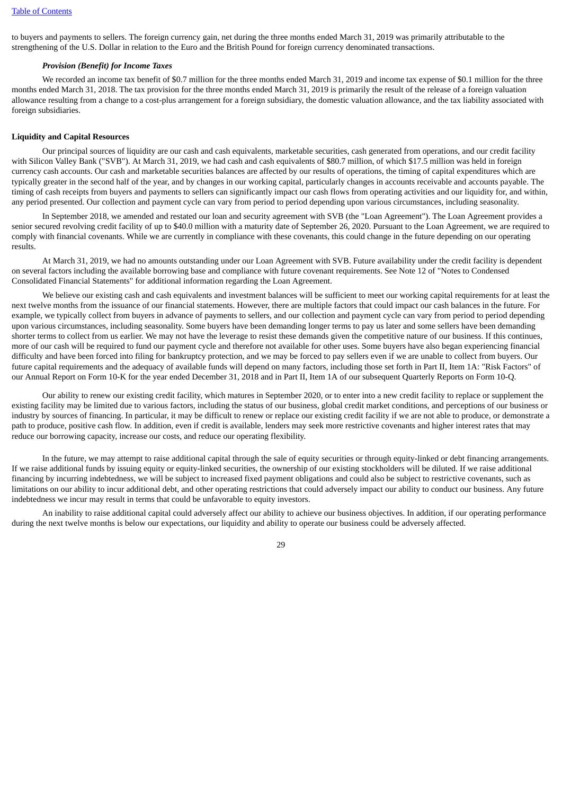to buyers and payments to sellers. The foreign currency gain, net during the three months ended March 31, 2019 was primarily attributable to the strengthening of the U.S. Dollar in relation to the Euro and the British Pound for foreign currency denominated transactions.

### *Provision (Benefit) for Income Taxes*

We recorded an income tax benefit of \$0.7 million for the three months ended March 31, 2019 and income tax expense of \$0.1 million for the three months ended March 31, 2018. The tax provision for the three months ended March 31, 2019 is primarily the result of the release of a foreign valuation allowance resulting from a change to a cost-plus arrangement for a foreign subsidiary, the domestic valuation allowance, and the tax liability associated with foreign subsidiaries.

## **Liquidity and Capital Resources**

Our principal sources of liquidity are our cash and cash equivalents, marketable securities, cash generated from operations, and our credit facility with Silicon Valley Bank ("SVB"). At March 31, 2019, we had cash and cash equivalents of \$80.7 million, of which \$17.5 million was held in foreign currency cash accounts. Our cash and marketable securities balances are affected by our results of operations, the timing of capital expenditures which are typically greater in the second half of the year, and by changes in our working capital, particularly changes in accounts receivable and accounts payable. The timing of cash receipts from buyers and payments to sellers can significantly impact our cash flows from operating activities and our liquidity for, and within, any period presented. Our collection and payment cycle can vary from period to period depending upon various circumstances, including seasonality.

In September 2018, we amended and restated our loan and security agreement with SVB (the "Loan Agreement"). The Loan Agreement provides a senior secured revolving credit facility of up to \$40.0 million with a maturity date of September 26, 2020. Pursuant to the Loan Agreement, we are required to comply with financial covenants. While we are currently in compliance with these covenants, this could change in the future depending on our operating results.

At March 31, 2019, we had no amounts outstanding under our Loan Agreement with SVB. Future availability under the credit facility is dependent on several factors including the available borrowing base and compliance with future covenant requirements. See Note 12 of "Notes to Condensed Consolidated Financial Statements" for additional information regarding the Loan Agreement.

We believe our existing cash and cash equivalents and investment balances will be sufficient to meet our working capital requirements for at least the next twelve months from the issuance of our financial statements. However, there are multiple factors that could impact our cash balances in the future. For example, we typically collect from buyers in advance of payments to sellers, and our collection and payment cycle can vary from period to period depending upon various circumstances, including seasonality. Some buyers have been demanding longer terms to pay us later and some sellers have been demanding shorter terms to collect from us earlier. We may not have the leverage to resist these demands given the competitive nature of our business. If this continues, more of our cash will be required to fund our payment cycle and therefore not available for other uses. Some buyers have also began experiencing financial difficulty and have been forced into filing for bankruptcy protection, and we may be forced to pay sellers even if we are unable to collect from buyers. Our future capital requirements and the adequacy of available funds will depend on many factors, including those set forth in Part II, Item 1A: "Risk Factors" of our Annual Report on Form 10-K for the year ended December 31, 2018 and in Part II, Item 1A of our subsequent Quarterly Reports on Form 10-Q.

Our ability to renew our existing credit facility, which matures in September 2020, or to enter into a new credit facility to replace or supplement the existing facility may be limited due to various factors, including the status of our business, global credit market conditions, and perceptions of our business or industry by sources of financing. In particular, it may be difficult to renew or replace our existing credit facility if we are not able to produce, or demonstrate a path to produce, positive cash flow. In addition, even if credit is available, lenders may seek more restrictive covenants and higher interest rates that may reduce our borrowing capacity, increase our costs, and reduce our operating flexibility.

In the future, we may attempt to raise additional capital through the sale of equity securities or through equity-linked or debt financing arrangements. If we raise additional funds by issuing equity or equity-linked securities, the ownership of our existing stockholders will be diluted. If we raise additional financing by incurring indebtedness, we will be subject to increased fixed payment obligations and could also be subject to restrictive covenants, such as limitations on our ability to incur additional debt, and other operating restrictions that could adversely impact our ability to conduct our business. Any future indebtedness we incur may result in terms that could be unfavorable to equity investors.

An inability to raise additional capital could adversely affect our ability to achieve our business objectives. In addition, if our operating performance during the next twelve months is below our expectations, our liquidity and ability to operate our business could be adversely affected.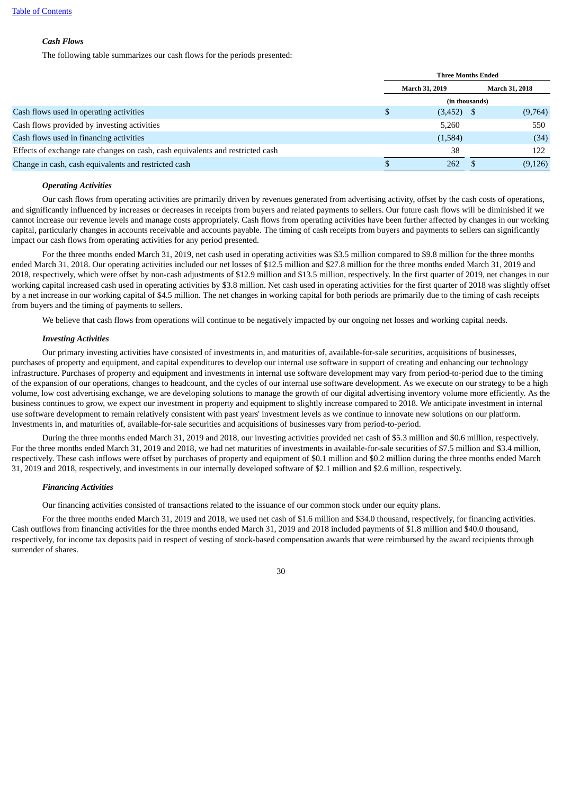## *Cash Flows*

The following table summarizes our cash flows for the periods presented:

|                                                                                | <b>Three Months Ended</b> |                |  |                       |
|--------------------------------------------------------------------------------|---------------------------|----------------|--|-----------------------|
|                                                                                | March 31, 2019            |                |  | <b>March 31, 2018</b> |
|                                                                                |                           | (in thousands) |  |                       |
| Cash flows used in operating activities                                        |                           | $(3,452)$ \$   |  | (9,764)               |
| Cash flows provided by investing activities                                    |                           | 5,260          |  | 550                   |
| Cash flows used in financing activities                                        |                           | (1,584)        |  | (34)                  |
| Effects of exchange rate changes on cash, cash equivalents and restricted cash |                           | 38             |  | 122                   |
| Change in cash, cash equivalents and restricted cash                           |                           | 262            |  | (9, 126)              |

## *Operating Activities*

Our cash flows from operating activities are primarily driven by revenues generated from advertising activity, offset by the cash costs of operations, and significantly influenced by increases or decreases in receipts from buyers and related payments to sellers. Our future cash flows will be diminished if we cannot increase our revenue levels and manage costs appropriately. Cash flows from operating activities have been further affected by changes in our working capital, particularly changes in accounts receivable and accounts payable. The timing of cash receipts from buyers and payments to sellers can significantly impact our cash flows from operating activities for any period presented.

For the three months ended March 31, 2019, net cash used in operating activities was \$3.5 million compared to \$9.8 million for the three months ended March 31, 2018. Our operating activities included our net losses of \$12.5 million and \$27.8 million for the three months ended March 31, 2019 and 2018, respectively, which were offset by non-cash adjustments of \$12.9 million and \$13.5 million, respectively. In the first quarter of 2019, net changes in our working capital increased cash used in operating activities by \$3.8 million. Net cash used in operating activities for the first quarter of 2018 was slightly offset by a net increase in our working capital of \$4.5 million. The net changes in working capital for both periods are primarily due to the timing of cash receipts from buyers and the timing of payments to sellers.

We believe that cash flows from operations will continue to be negatively impacted by our ongoing net losses and working capital needs.

#### *Investing Activities*

Our primary investing activities have consisted of investments in, and maturities of, available-for-sale securities, acquisitions of businesses, purchases of property and equipment, and capital expenditures to develop our internal use software in support of creating and enhancing our technology infrastructure. Purchases of property and equipment and investments in internal use software development may vary from period-to-period due to the timing of the expansion of our operations, changes to headcount, and the cycles of our internal use software development. As we execute on our strategy to be a high volume, low cost advertising exchange, we are developing solutions to manage the growth of our digital advertising inventory volume more efficiently. As the business continues to grow, we expect our investment in property and equipment to slightly increase compared to 2018. We anticipate investment in internal use software development to remain relatively consistent with past years' investment levels as we continue to innovate new solutions on our platform. Investments in, and maturities of, available-for-sale securities and acquisitions of businesses vary from period-to-period.

During the three months ended March 31, 2019 and 2018, our investing activities provided net cash of \$5.3 million and \$0.6 million, respectively. For the three months ended March 31, 2019 and 2018, we had net maturities of investments in available-for-sale securities of \$7.5 million and \$3.4 million, respectively. These cash inflows were offset by purchases of property and equipment of \$0.1 million and \$0.2 million during the three months ended March 31, 2019 and 2018, respectively, and investments in our internally developed software of \$2.1 million and \$2.6 million, respectively.

#### *Financing Activities*

Our financing activities consisted of transactions related to the issuance of our common stock under our equity plans.

For the three months ended March 31, 2019 and 2018, we used net cash of \$1.6 million and \$34.0 thousand, respectively, for financing activities. Cash outflows from financing activities for the three months ended March 31, 2019 and 2018 included payments of \$1.8 million and \$40.0 thousand, respectively, for income tax deposits paid in respect of vesting of stock-based compensation awards that were reimbursed by the award recipients through surrender of shares.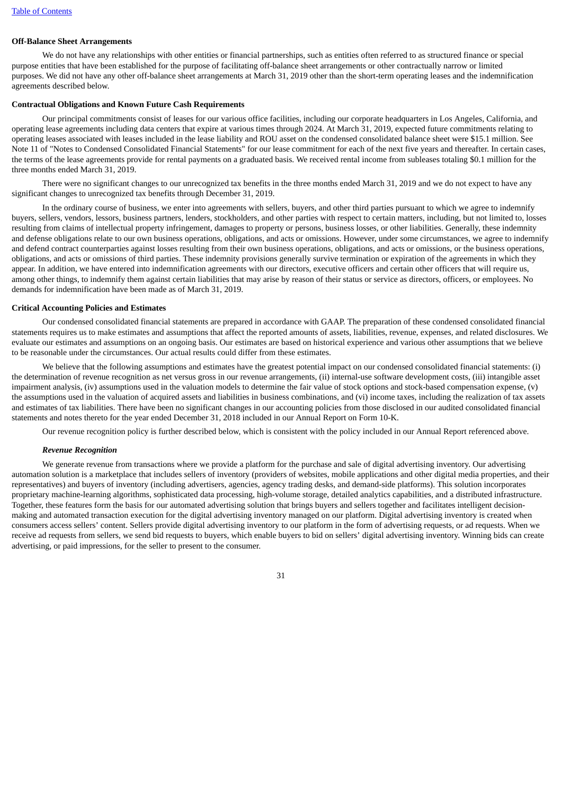# **Off-Balance Sheet Arrangements**

We do not have any relationships with other entities or financial partnerships, such as entities often referred to as structured finance or special purpose entities that have been established for the purpose of facilitating off-balance sheet arrangements or other contractually narrow or limited purposes. We did not have any other off-balance sheet arrangements at March 31, 2019 other than the short-term operating leases and the indemnification agreements described below.

#### **Contractual Obligations and Known Future Cash Requirements**

Our principal commitments consist of leases for our various office facilities, including our corporate headquarters in Los Angeles, California, and operating lease agreements including data centers that expire at various times through 2024. At March 31, 2019, expected future commitments relating to operating leases associated with leases included in the lease liability and ROU asset on the condensed consolidated balance sheet were \$15.1 million. See Note 11 of "Notes to Condensed Consolidated Financial Statements" for our lease commitment for each of the next five years and thereafter. In certain cases, the terms of the lease agreements provide for rental payments on a graduated basis. We received rental income from subleases totaling \$0.1 million for the three months ended March 31, 2019.

There were no significant changes to our unrecognized tax benefits in the three months ended March 31, 2019 and we do not expect to have any significant changes to unrecognized tax benefits through December 31, 2019.

In the ordinary course of business, we enter into agreements with sellers, buyers, and other third parties pursuant to which we agree to indemnify buyers, sellers, vendors, lessors, business partners, lenders, stockholders, and other parties with respect to certain matters, including, but not limited to, losses resulting from claims of intellectual property infringement, damages to property or persons, business losses, or other liabilities. Generally, these indemnity and defense obligations relate to our own business operations, obligations, and acts or omissions. However, under some circumstances, we agree to indemnify and defend contract counterparties against losses resulting from their own business operations, obligations, and acts or omissions, or the business operations, obligations, and acts or omissions of third parties. These indemnity provisions generally survive termination or expiration of the agreements in which they appear. In addition, we have entered into indemnification agreements with our directors, executive officers and certain other officers that will require us, among other things, to indemnify them against certain liabilities that may arise by reason of their status or service as directors, officers, or employees. No demands for indemnification have been made as of March 31, 2019.

#### **Critical Accounting Policies and Estimates**

Our condensed consolidated financial statements are prepared in accordance with GAAP. The preparation of these condensed consolidated financial statements requires us to make estimates and assumptions that affect the reported amounts of assets, liabilities, revenue, expenses, and related disclosures. We evaluate our estimates and assumptions on an ongoing basis. Our estimates are based on historical experience and various other assumptions that we believe to be reasonable under the circumstances. Our actual results could differ from these estimates.

We believe that the following assumptions and estimates have the greatest potential impact on our condensed consolidated financial statements: (i) the determination of revenue recognition as net versus gross in our revenue arrangements, (ii) internal-use software development costs, (iii) intangible asset impairment analysis, (iv) assumptions used in the valuation models to determine the fair value of stock options and stock-based compensation expense, (v) the assumptions used in the valuation of acquired assets and liabilities in business combinations, and (vi) income taxes, including the realization of tax assets and estimates of tax liabilities. There have been no significant changes in our accounting policies from those disclosed in our audited consolidated financial statements and notes thereto for the year ended December 31, 2018 included in our Annual Report on Form 10-K.

Our revenue recognition policy is further described below, which is consistent with the policy included in our Annual Report referenced above.

#### *Revenue Recognition*

We generate revenue from transactions where we provide a platform for the purchase and sale of digital advertising inventory. Our advertising automation solution is a marketplace that includes sellers of inventory (providers of websites, mobile applications and other digital media properties, and their representatives) and buyers of inventory (including advertisers, agencies, agency trading desks, and demand-side platforms). This solution incorporates proprietary machine-learning algorithms, sophisticated data processing, high-volume storage, detailed analytics capabilities, and a distributed infrastructure. Together, these features form the basis for our automated advertising solution that brings buyers and sellers together and facilitates intelligent decisionmaking and automated transaction execution for the digital advertising inventory managed on our platform. Digital advertising inventory is created when consumers access sellers' content. Sellers provide digital advertising inventory to our platform in the form of advertising requests, or ad requests. When we receive ad requests from sellers, we send bid requests to buyers, which enable buyers to bid on sellers' digital advertising inventory. Winning bids can create advertising, or paid impressions, for the seller to present to the consumer.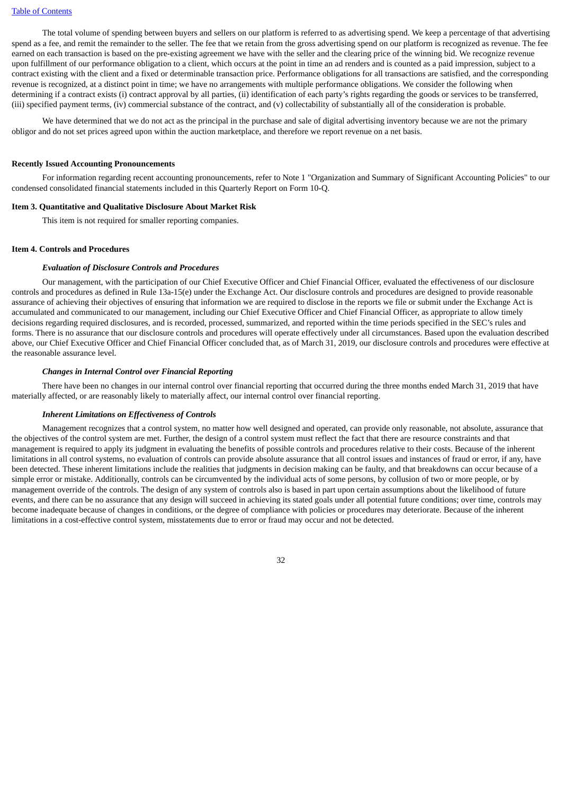The total volume of spending between buyers and sellers on our platform is referred to as advertising spend. We keep a percentage of that advertising spend as a fee, and remit the remainder to the seller. The fee that we retain from the gross advertising spend on our platform is recognized as revenue. The fee earned on each transaction is based on the pre-existing agreement we have with the seller and the clearing price of the winning bid. We recognize revenue upon fulfillment of our performance obligation to a client, which occurs at the point in time an ad renders and is counted as a paid impression, subject to a contract existing with the client and a fixed or determinable transaction price. Performance obligations for all transactions are satisfied, and the corresponding revenue is recognized, at a distinct point in time; we have no arrangements with multiple performance obligations. We consider the following when determining if a contract exists (i) contract approval by all parties, (ii) identification of each party's rights regarding the goods or services to be transferred, (iii) specified payment terms, (iv) commercial substance of the contract, and (v) collectability of substantially all of the consideration is probable.

We have determined that we do not act as the principal in the purchase and sale of digital advertising inventory because we are not the primary obligor and do not set prices agreed upon within the auction marketplace, and therefore we report revenue on a net basis.

#### **Recently Issued Accounting Pronouncements**

For information regarding recent accounting pronouncements, refer to Note 1 "Organization and Summary of Significant Accounting Policies" to our condensed consolidated financial statements included in this Quarterly Report on Form 10-Q.

## <span id="page-31-0"></span>**Item 3. Quantitative and Qualitative Disclosure About Market Risk**

This item is not required for smaller reporting companies.

#### <span id="page-31-1"></span>**Item 4. Controls and Procedures**

#### *Evaluation of Disclosure Controls and Procedures*

Our management, with the participation of our Chief Executive Officer and Chief Financial Officer, evaluated the effectiveness of our disclosure controls and procedures as defined in Rule 13a-15(e) under the Exchange Act. Our disclosure controls and procedures are designed to provide reasonable assurance of achieving their objectives of ensuring that information we are required to disclose in the reports we file or submit under the Exchange Act is accumulated and communicated to our management, including our Chief Executive Officer and Chief Financial Officer, as appropriate to allow timely decisions regarding required disclosures, and is recorded, processed, summarized, and reported within the time periods specified in the SEC's rules and forms. There is no assurance that our disclosure controls and procedures will operate effectively under all circumstances. Based upon the evaluation described above, our Chief Executive Officer and Chief Financial Officer concluded that, as of March 31, 2019, our disclosure controls and procedures were effective at the reasonable assurance level.

#### *Changes in Internal Control over Financial Reporting*

There have been no changes in our internal control over financial reporting that occurred during the three months ended March 31, 2019 that have materially affected, or are reasonably likely to materially affect, our internal control over financial reporting.

### *Inherent Limitations on Effectiveness of Controls*

<span id="page-31-2"></span>Management recognizes that a control system, no matter how well designed and operated, can provide only reasonable, not absolute, assurance that the objectives of the control system are met. Further, the design of a control system must reflect the fact that there are resource constraints and that management is required to apply its judgment in evaluating the benefits of possible controls and procedures relative to their costs. Because of the inherent limitations in all control systems, no evaluation of controls can provide absolute assurance that all control issues and instances of fraud or error, if any, have been detected. These inherent limitations include the realities that judgments in decision making can be faulty, and that breakdowns can occur because of a simple error or mistake. Additionally, controls can be circumvented by the individual acts of some persons, by collusion of two or more people, or by management override of the controls. The design of any system of controls also is based in part upon certain assumptions about the likelihood of future events, and there can be no assurance that any design will succeed in achieving its stated goals under all potential future conditions; over time, controls may become inadequate because of changes in conditions, or the degree of compliance with policies or procedures may deteriorate. Because of the inherent limitations in a cost-effective control system, misstatements due to error or fraud may occur and not be detected.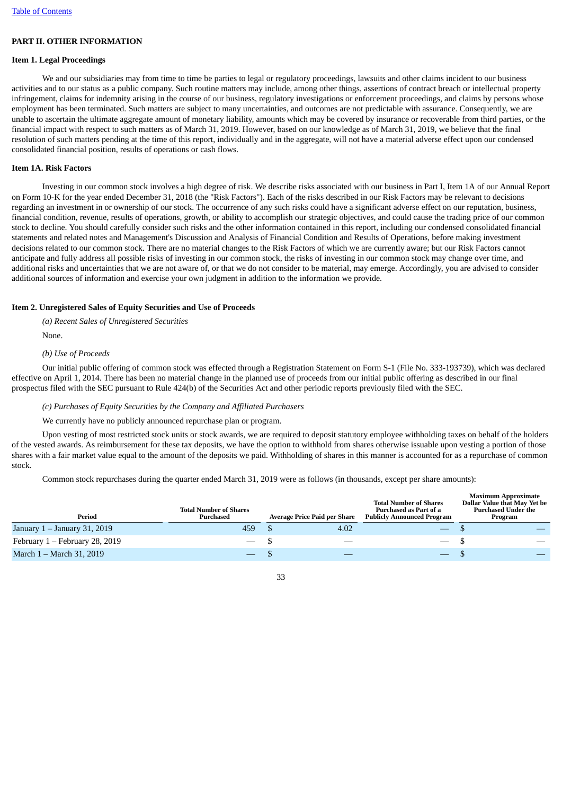# <span id="page-32-0"></span>**PART II. OTHER INFORMATION**

# **Item 1. Legal Proceedings**

We and our subsidiaries may from time to time be parties to legal or regulatory proceedings, lawsuits and other claims incident to our business activities and to our status as a public company. Such routine matters may include, among other things, assertions of contract breach or intellectual property infringement, claims for indemnity arising in the course of our business, regulatory investigations or enforcement proceedings, and claims by persons whose employment has been terminated. Such matters are subject to many uncertainties, and outcomes are not predictable with assurance. Consequently, we are unable to ascertain the ultimate aggregate amount of monetary liability, amounts which may be covered by insurance or recoverable from third parties, or the financial impact with respect to such matters as of March 31, 2019. However, based on our knowledge as of March 31, 2019, we believe that the final resolution of such matters pending at the time of this report, individually and in the aggregate, will not have a material adverse effect upon our condensed consolidated financial position, results of operations or cash flows.

# <span id="page-32-1"></span>**Item 1A. Risk Factors**

Investing in our common stock involves a high degree of risk. We describe risks associated with our business in Part I, Item 1A of our Annual Report on Form 10-K for the year ended December 31, 2018 (the "Risk Factors"). Each of the risks described in our Risk Factors may be relevant to decisions regarding an investment in or ownership of our stock. The occurrence of any such risks could have a significant adverse effect on our reputation, business, financial condition, revenue, results of operations, growth, or ability to accomplish our strategic objectives, and could cause the trading price of our common stock to decline. You should carefully consider such risks and the other information contained in this report, including our condensed consolidated financial statements and related notes and Management's Discussion and Analysis of Financial Condition and Results of Operations, before making investment decisions related to our common stock. There are no material changes to the Risk Factors of which we are currently aware; but our Risk Factors cannot anticipate and fully address all possible risks of investing in our common stock, the risks of investing in our common stock may change over time, and additional risks and uncertainties that we are not aware of, or that we do not consider to be material, may emerge. Accordingly, you are advised to consider additional sources of information and exercise your own judgment in addition to the information we provide.

# <span id="page-32-2"></span>**Item 2. Unregistered Sales of Equity Securities and Use of Proceeds**

*(a) Recent Sales of Unregistered Securities*

None.

## *(b) Use of Proceeds*

Our initial public offering of common stock was effected through a Registration Statement on Form S-1 (File No. 333-193739), which was declared effective on April 1, 2014. There has been no material change in the planned use of proceeds from our initial public offering as described in our final prospectus filed with the SEC pursuant to Rule 424(b) of the Securities Act and other periodic reports previously filed with the SEC.

## *(c) Purchases of Equity Securities by the Company and Affiliated Purchasers*

We currently have no publicly announced repurchase plan or program.

Upon vesting of most restricted stock units or stock awards, we are required to deposit statutory employee withholding taxes on behalf of the holders of the vested awards. As reimbursement for these tax deposits, we have the option to withhold from shares otherwise issuable upon vesting a portion of those shares with a fair market value equal to the amount of the deposits we paid. Withholding of shares in this manner is accounted for as a repurchase of common stock.

Common stock repurchases during the quarter ended March 31, 2019 were as follows (in thousands, except per share amounts):

| Period                         | <b>Total Number of Shares</b><br>Purchased | <b>Average Price Paid per Share</b> | <b>Total Number of Shares</b><br>Purchased as Part of a<br><b>Publicly Announced Program</b> | <b>Maximum Approximate</b><br><b>Dollar Value that May Yet be</b><br><b>Purchased Under the</b><br>Program |
|--------------------------------|--------------------------------------------|-------------------------------------|----------------------------------------------------------------------------------------------|------------------------------------------------------------------------------------------------------------|
| January 1 – January 31, 2019   | 459                                        | 4.02                                |                                                                                              |                                                                                                            |
| February 1 – February 28, 2019 |                                            | $\overline{\phantom{a}}$            | $\overline{\phantom{a}}$                                                                     |                                                                                                            |
| March 1 – March 31, 2019       |                                            |                                     |                                                                                              |                                                                                                            |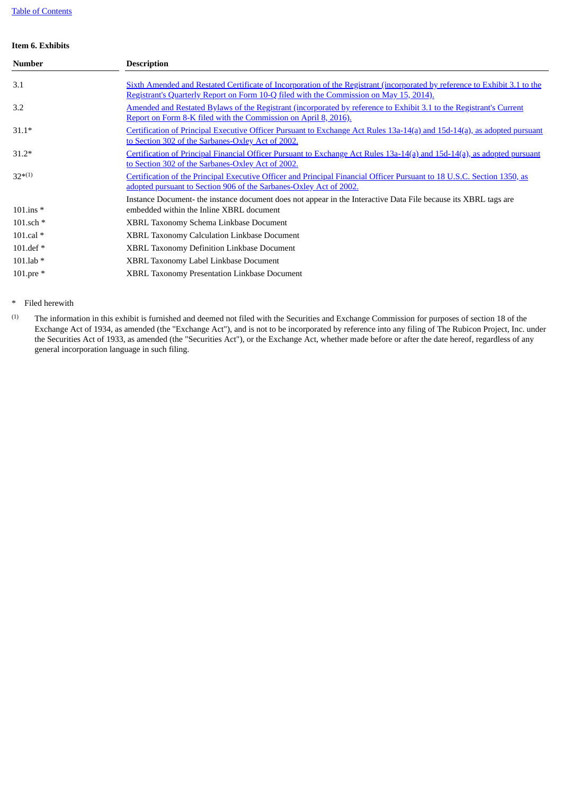# <span id="page-33-0"></span>**Item 6. Exhibits**

| <b>Number</b>  | <b>Description</b>                                                                                                                                                                                                   |
|----------------|----------------------------------------------------------------------------------------------------------------------------------------------------------------------------------------------------------------------|
| 3.1            | Sixth Amended and Restated Certificate of Incorporation of the Registrant (incorporated by reference to Exhibit 3.1 to the<br>Registrant's Quarterly Report on Form 10-Q filed with the Commission on May 15, 2014). |
| 3.2            | Amended and Restated Bylaws of the Registrant (incorporated by reference to Exhibit 3.1 to the Registrant's Current<br>Report on Form 8-K filed with the Commission on April 8, 2016).                               |
| $31.1*$        | Certification of Principal Executive Officer Pursuant to Exchange Act Rules 13a-14(a) and 15d-14(a), as adopted pursuant<br>to Section 302 of the Sarbanes-Oxley Act of 2002.                                        |
| $31.2*$        | Certification of Principal Financial Officer Pursuant to Exchange Act Rules 13a-14(a) and 15d-14(a), as adopted pursuant<br>to Section 302 of the Sarbanes-Oxley Act of 2002.                                        |
| $32*(1)$       | Certification of the Principal Executive Officer and Principal Financial Officer Pursuant to 18 U.S.C. Section 1350, as<br>adopted pursuant to Section 906 of the Sarbanes-Oxley Act of 2002.                        |
| $101$ .ins $*$ | Instance Document- the instance document does not appear in the Interactive Data File because its XBRL tags are<br>embedded within the Inline XBRL document                                                          |
| $101$ .sch $*$ | XBRL Taxonomy Schema Linkbase Document                                                                                                                                                                               |
| 101.cal $*$    | <b>XBRL Taxonomy Calculation Linkbase Document</b>                                                                                                                                                                   |
| 101.def $*$    | <b>XBRL Taxonomy Definition Linkbase Document</b>                                                                                                                                                                    |
| $101$ .lab $*$ | XBRL Taxonomy Label Linkbase Document                                                                                                                                                                                |
| 101.pre *      | <b>XBRL Taxonomy Presentation Linkbase Document</b>                                                                                                                                                                  |

## \* Filed herewith

(1) The information in this exhibit is furnished and deemed not filed with the Securities and Exchange Commission for purposes of section 18 of the Exchange Act of 1934, as amended (the "Exchange Act"), and is not to be incorporated by reference into any filing of The Rubicon Project, Inc. under the Securities Act of 1933, as amended (the "Securities Act"), or the Exchange Act, whether made before or after the date hereof, regardless of any general incorporation language in such filing.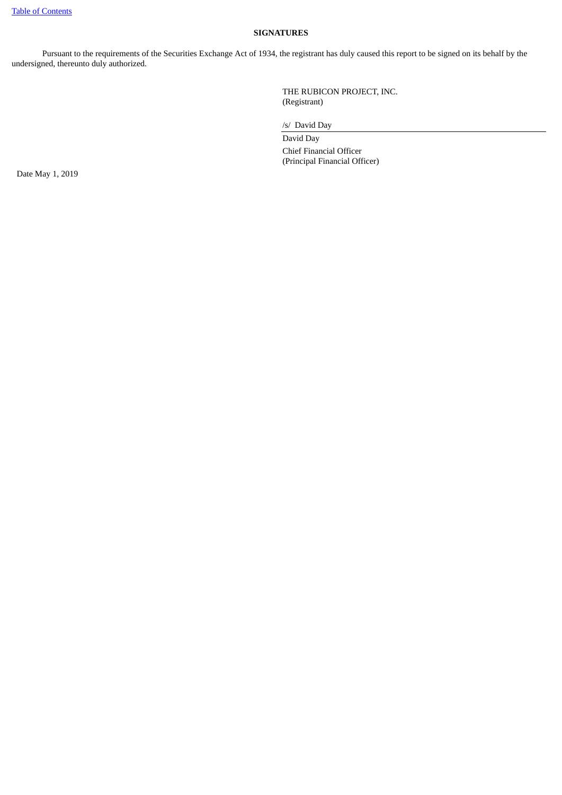## **SIGNATURES**

<span id="page-34-0"></span>Pursuant to the requirements of the Securities Exchange Act of 1934, the registrant has duly caused this report to be signed on its behalf by the undersigned, thereunto duly authorized.

> THE RUBICON PROJECT, INC. (Registrant)

/s/ David Day

David Day Chief Financial Officer (Principal Financial Officer)

Date May 1, 2019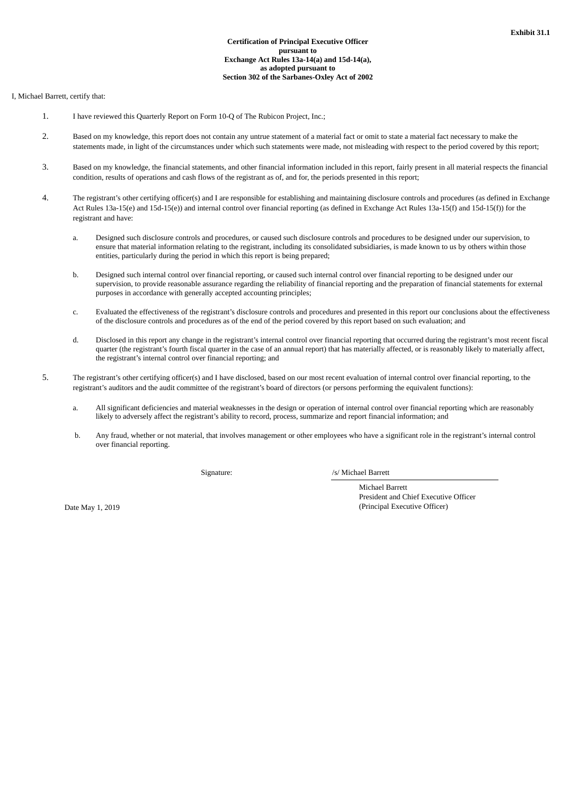#### <span id="page-35-0"></span>I, Michael Barrett, certify that:

- 1. I have reviewed this Quarterly Report on Form 10-Q of The Rubicon Project, Inc.;
- 2. Based on my knowledge, this report does not contain any untrue statement of a material fact or omit to state a material fact necessary to make the statements made, in light of the circumstances under which such statements were made, not misleading with respect to the period covered by this report;
- 3. Based on my knowledge, the financial statements, and other financial information included in this report, fairly present in all material respects the financial condition, results of operations and cash flows of the registrant as of, and for, the periods presented in this report;
- 4. The registrant's other certifying officer(s) and I are responsible for establishing and maintaining disclosure controls and procedures (as defined in Exchange Act Rules 13a-15(e) and 15d-15(e)) and internal control over financial reporting (as defined in Exchange Act Rules 13a-15(f) and 15d-15(f)) for the registrant and have:
	- a. Designed such disclosure controls and procedures, or caused such disclosure controls and procedures to be designed under our supervision, to ensure that material information relating to the registrant, including its consolidated subsidiaries, is made known to us by others within those entities, particularly during the period in which this report is being prepared;
	- b. Designed such internal control over financial reporting, or caused such internal control over financial reporting to be designed under our supervision, to provide reasonable assurance regarding the reliability of financial reporting and the preparation of financial statements for external purposes in accordance with generally accepted accounting principles;
	- c. Evaluated the effectiveness of the registrant's disclosure controls and procedures and presented in this report our conclusions about the effectiveness of the disclosure controls and procedures as of the end of the period covered by this report based on such evaluation; and
	- d. Disclosed in this report any change in the registrant's internal control over financial reporting that occurred during the registrant's most recent fiscal quarter (the registrant's fourth fiscal quarter in the case of an annual report) that has materially affected, or is reasonably likely to materially affect, the registrant's internal control over financial reporting; and
- 5. The registrant's other certifying officer(s) and I have disclosed, based on our most recent evaluation of internal control over financial reporting, to the registrant's auditors and the audit committee of the registrant's board of directors (or persons performing the equivalent functions):
	- a. All significant deficiencies and material weaknesses in the design or operation of internal control over financial reporting which are reasonably likely to adversely affect the registrant's ability to record, process, summarize and report financial information; and
	- b. Any fraud, whether or not material, that involves management or other employees who have a significant role in the registrant's internal control over financial reporting.

Signature: /s/ Michael Barrett

Michael Barrett President and Chief Executive Officer (Principal Executive Officer)

Date May 1, 2019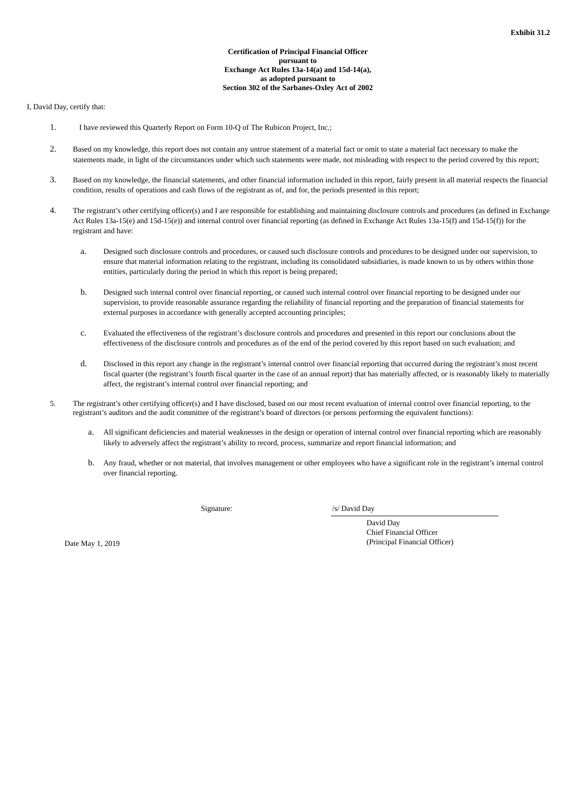**Certification of Principal Financial Officer pursuant to Exchange Act Rules 13a-14(a) and 15d-14(a), as adopted pursuant to Section 302 of the Sarbanes-Oxley Act of 2002**

<span id="page-36-0"></span>I, David Day, certify that:

- 1. I have reviewed this Quarterly Report on Form 10-Q of The Rubicon Project, Inc.;
- 2. Based on my knowledge, this report does not contain any untrue statement of a material fact or omit to state a material fact necessary to make the statements made, in light of the circumstances under which such statements were made, not misleading with respect to the period covered by this report;
- 3. Based on my knowledge, the financial statements, and other financial information included in this report, fairly present in all material respects the financial condition, results of operations and cash flows of the registrant as of, and for, the periods presented in this report;
- 4. The registrant's other certifying officer(s) and I are responsible for establishing and maintaining disclosure controls and procedures (as defined in Exchange Act Rules 13a-15(e) and 15d-15(e)) and internal control over financial reporting (as defined in Exchange Act Rules 13a-15(f) and 15d-15(f)) for the registrant and have:
	- a. Designed such disclosure controls and procedures, or caused such disclosure controls and procedures to be designed under our supervision, to ensure that material information relating to the registrant, including its consolidated subsidiaries, is made known to us by others within those entities, particularly during the period in which this report is being prepared;
	- b. Designed such internal control over financial reporting, or caused such internal control over financial reporting to be designed under our supervision, to provide reasonable assurance regarding the reliability of financial reporting and the preparation of financial statements for external purposes in accordance with generally accepted accounting principles;
	- c. Evaluated the effectiveness of the registrant's disclosure controls and procedures and presented in this report our conclusions about the effectiveness of the disclosure controls and procedures as of the end of the period covered by this report based on such evaluation; and
	- d. Disclosed in this report any change in the registrant's internal control over financial reporting that occurred during the registrant's most recent fiscal quarter (the registrant's fourth fiscal quarter in the case of an annual report) that has materially affected, or is reasonably likely to materially affect, the registrant's internal control over financial reporting; and
- 5. The registrant's other certifying officer(s) and I have disclosed, based on our most recent evaluation of internal control over financial reporting, to the registrant's auditors and the audit committee of the registrant's board of directors (or persons performing the equivalent functions):
	- a. All significant deficiencies and material weaknesses in the design or operation of internal control over financial reporting which are reasonably likely to adversely affect the registrant's ability to record, process, summarize and report financial information; and
	- b. Any fraud, whether or not material, that involves management or other employees who have a significant role in the registrant's internal control over financial reporting.

Signature: /s/ David Day

David Day Chief Financial Officer (Principal Financial Officer)

Date May 1, 2019